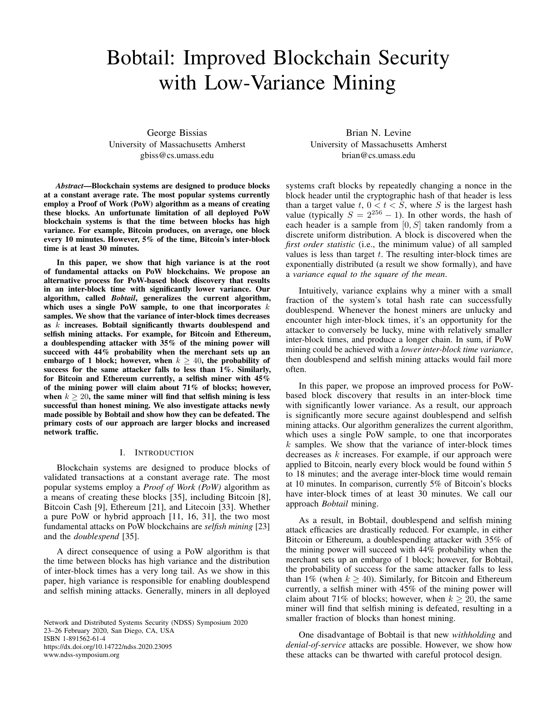# Bobtail: Improved Blockchain Security with Low-Variance Mining

George Bissias University of Massachusetts Amherst gbiss@cs.umass.edu

*Abstract*—Blockchain systems are designed to produce blocks at a constant average rate. The most popular systems currently employ a Proof of Work (PoW) algorithm as a means of creating these blocks. An unfortunate limitation of all deployed PoW blockchain systems is that the time between blocks has high variance. For example, Bitcoin produces, on average, one block every 10 minutes. However, 5% of the time, Bitcoin's inter-block time is at least 30 minutes.

In this paper, we show that high variance is at the root of fundamental attacks on PoW blockchains. We propose an alternative process for PoW-based block discovery that results in an inter-block time with significantly lower variance. Our algorithm, called *Bobtail*, generalizes the current algorithm, which uses a single PoW sample, to one that incorporates  $k$ samples. We show that the variance of inter-block times decreases as  $k$  increases. Bobtail significantly thwarts doublespend and selfish mining attacks. For example, for Bitcoin and Ethereum, a doublespending attacker with 35% of the mining power will succeed with 44% probability when the merchant sets up an embargo of 1 block; however, when  $k \geq 40$ , the probability of success for the same attacker falls to less than 1%. Similarly, for Bitcoin and Ethereum currently, a selfish miner with 45% of the mining power will claim about 71% of blocks; however, when  $k \geq 20$ , the same miner will find that selfish mining is less successful than honest mining. We also investigate attacks newly made possible by Bobtail and show how they can be defeated. The primary costs of our approach are larger blocks and increased network traffic.

## I. INTRODUCTION

Blockchain systems are designed to produce blocks of validated transactions at a constant average rate. The most popular systems employ a *Proof of Work (PoW)* algorithm as a means of creating these blocks [\[35\]](#page-14-0), including Bitcoin [\[8\]](#page-13-0), Bitcoin Cash [\[9\]](#page-13-1), Ethereum [\[21\]](#page-14-1), and Litecoin [\[33\]](#page-14-2). Whether a pure PoW or hybrid approach [\[11,](#page-13-2) [16,](#page-14-3) [31\]](#page-14-4), the two most fundamental attacks on PoW blockchains are *selfish mining* [\[23\]](#page-14-5) and the *doublespend* [\[35\]](#page-14-0).

A direct consequence of using a PoW algorithm is that the time between blocks has high variance and the distribution of inter-block times has a very long tail. As we show in this paper, high variance is responsible for enabling doublespend and selfish mining attacks. Generally, miners in all deployed

Network and Distributed Systems Security (NDSS) Symposium 2020 23–26 February 2020, San Diego, CA, USA ISBN 1-891562-61-4 https://dx.doi.org/10.14722/ndss.2020.23095 www.ndss-symposium.org

Brian N. Levine University of Massachusetts Amherst brian@cs.umass.edu

systems craft blocks by repeatedly changing a nonce in the block header until the cryptographic hash of that header is less than a target value t,  $0 < t < S$ , where S is the largest hash value (typically  $S = 2^{256} - 1$ ). In other words, the hash of each header is a sample from  $[0, S]$  taken randomly from a discrete uniform distribution. A block is discovered when the *first order statistic* (i.e., the minimum value) of all sampled values is less than target  $t$ . The resulting inter-block times are exponentially distributed (a result we show formally), and have a *variance equal to the square of the mean*.

Intuitively, variance explains why a miner with a small fraction of the system's total hash rate can successfully doublespend. Whenever the honest miners are unlucky and encounter high inter-block times, it's an opportunity for the attacker to conversely be lucky, mine with relatively smaller inter-block times, and produce a longer chain. In sum, if PoW mining could be achieved with a *lower inter-block time variance*, then doublespend and selfish mining attacks would fail more often.

In this paper, we propose an improved process for PoWbased block discovery that results in an inter-block time with significantly lower variance. As a result, our approach is significantly more secure against doublespend and selfish mining attacks. Our algorithm generalizes the current algorithm, which uses a single PoW sample, to one that incorporates  $k$  samples. We show that the variance of inter-block times decreases as k increases. For example, if our approach were applied to Bitcoin, nearly every block would be found within 5 to 18 minutes; and the average inter-block time would remain at 10 minutes. In comparison, currently 5% of Bitcoin's blocks have inter-block times of at least 30 minutes. We call our approach *Bobtail* mining.

As a result, in Bobtail, doublespend and selfish mining attack efficacies are drastically reduced. For example, in either Bitcoin or Ethereum, a doublespending attacker with 35% of the mining power will succeed with 44% probability when the merchant sets up an embargo of 1 block; however, for Bobtail, the probability of success for the same attacker falls to less than 1% (when  $k \ge 40$ ). Similarly, for Bitcoin and Ethereum currently, a selfish miner with 45% of the mining power will claim about 71% of blocks; however, when  $k \ge 20$ , the same miner will find that selfish mining is defeated, resulting in a smaller fraction of blocks than honest mining.

One disadvantage of Bobtail is that new *withholding* and *denial-of-service* attacks are possible. However, we show how these attacks can be thwarted with careful protocol design.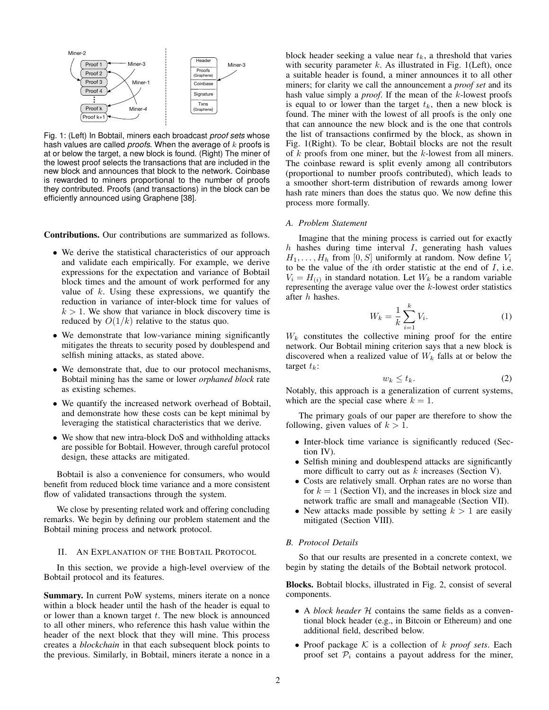<span id="page-1-0"></span>

Fig. 1: (Left) In Bobtail, miners each broadcast *proof sets* whose hash values are called *proofs*. When the average of k proofs is at or below the target, a new block is found. (Right) The miner of the lowest proof selects the transactions that are included in the new block and announces that block to the network. Coinbase is rewarded to miners proportional to the number of proofs they contributed. Proofs (and transactions) in the block can be efficiently announced using Graphene [\[38\]](#page-14-6).

Contributions. Our contributions are summarized as follows.

- We derive the statistical characteristics of our approach and validate each empirically. For example, we derive expressions for the expectation and variance of Bobtail block times and the amount of work performed for any value of  $k$ . Using these expressions, we quantify the reduction in variance of inter-block time for values of  $k > 1$ . We show that variance in block discovery time is reduced by  $O(1/k)$  relative to the status quo.
- We demonstrate that low-variance mining significantly mitigates the threats to security posed by doublespend and selfish mining attacks, as stated above.
- We demonstrate that, due to our protocol mechanisms, Bobtail mining has the same or lower *orphaned block* rate as existing schemes.
- We quantify the increased network overhead of Bobtail, and demonstrate how these costs can be kept minimal by leveraging the statistical characteristics that we derive.
- We show that new intra-block DoS and withholding attacks are possible for Bobtail. However, through careful protocol design, these attacks are mitigated.

Bobtail is also a convenience for consumers, who would benefit from reduced block time variance and a more consistent flow of validated transactions through the system.

We close by presenting related work and offering concluding remarks. We begin by defining our problem statement and the Bobtail mining process and network protocol.

## <span id="page-1-3"></span>II. AN EXPLANATION OF THE BOBTAIL PROTOCOL

In this section, we provide a high-level overview of the Bobtail protocol and its features.

Summary. In current PoW systems, miners iterate on a nonce within a block header until the hash of the header is equal to or lower than a known target  $t$ . The new block is announced to all other miners, who reference this hash value within the header of the next block that they will mine. This process creates a *blockchain* in that each subsequent block points to the previous. Similarly, in Bobtail, miners iterate a nonce in a

block header seeking a value near  $t_k$ , a threshold that varies with security parameter  $k$ . As illustrated in Fig. [1\(](#page-1-0)Left), once a suitable header is found, a miner announces it to all other miners; for clarity we call the announcement a *proof set* and its hash value simply a *proof*. If the mean of the k-lowest proofs is equal to or lower than the target  $t_k$ , then a new block is found. The miner with the lowest of all proofs is the only one that can announce the new block and is the one that controls the list of transactions confirmed by the block, as shown in Fig. [1\(](#page-1-0)Right). To be clear, Bobtail blocks are not the result of  $k$  proofs from one miner, but the  $k$ -lowest from all miners. The coinbase reward is split evenly among all contributors (proportional to number proofs contributed), which leads to a smoother short-term distribution of rewards among lower hash rate miners than does the status quo. We now define this process more formally.

### <span id="page-1-1"></span>*A. Problem Statement*

Imagine that the mining process is carried out for exactly h hashes during time interval  $I$ , generating hash values  $H_1, \ldots, H_h$  from [0, S] uniformly at random. Now define  $V_i$ to be the value of the  $i$ th order statistic at the end of  $I$ , i.e.  $V_i = H_{(i)}$  in standard notation. Let  $W_k$  be a random variable representing the average value over the  $k$ -lowest order statistics after h hashes.

<span id="page-1-2"></span>
$$
W_k = \frac{1}{k} \sum_{i=1}^{k} V_i.
$$
 (1)

 $W_k$  constitutes the collective mining proof for the entire network. Our Bobtail mining criterion says that a new block is discovered when a realized value of  $W_k$  falls at or below the target  $t_k$ :

$$
w_k \le t_k. \tag{2}
$$

Notably, this approach is a generalization of current systems, which are the special case where  $k = 1$ .

The primary goals of our paper are therefore to show the following, given values of  $k > 1$ .

- Inter-block time variance is significantly reduced (Section [IV\)](#page-4-0).
- Selfish mining and doublespend attacks are significantly more difficult to carry out as  $k$  increases (Section [V\)](#page-7-0).
- Costs are relatively small. Orphan rates are no worse than for  $k = 1$  (Section [VI\)](#page-7-1), and the increases in block size and network traffic are small and manageable (Section [VII\)](#page-9-0).
- New attacks made possible by setting  $k > 1$  are easily mitigated (Section [VIII\)](#page-9-1).

## *B. Protocol Details*

So that our results are presented in a concrete context, we begin by stating the details of the Bobtail network protocol.

Blocks. Bobtail blocks, illustrated in Fig. [2,](#page-2-0) consist of several components.

- A *block header* H contains the same fields as a conventional block header (e.g., in Bitcoin or Ethereum) and one additional field, described below.
- Proof package  $K$  is a collection of  $k$  *proof sets*. Each proof set  $P_i$  contains a payout address for the miner,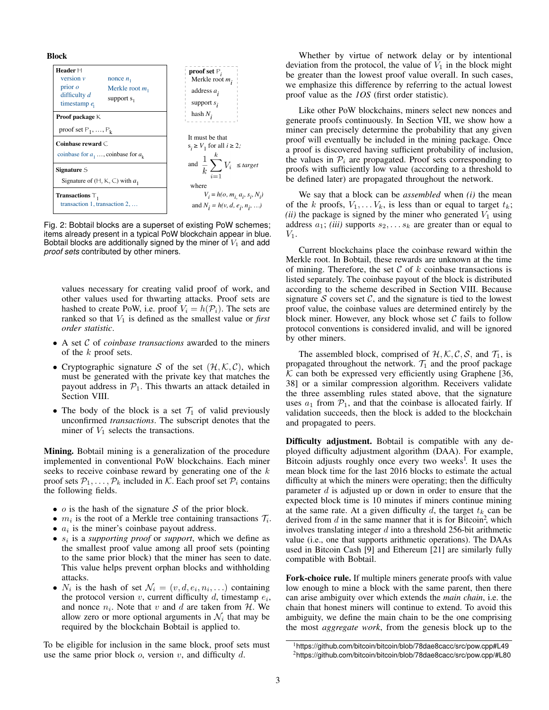<span id="page-2-0"></span>



Fig. 2: Bobtail blocks are a superset of existing PoW schemes; items already present in a typical PoW blockchain appear in blue. Bobtail blocks are additionally signed by the miner of  $V_1$  and add *proof sets* contributed by other miners.

values necessary for creating valid proof of work, and other values used for thwarting attacks. Proof sets are hashed to create PoW, i.e. proof  $V_i = h(\mathcal{P}_i)$ . The sets are ranked so that  $V_1$  is defined as the smallest value or *first order statistic*.

- A set C of *coinbase transactions* awarded to the miners of the k proof sets.
- Cryptographic signature S of the set  $(\mathcal{H}, \mathcal{K}, \mathcal{C})$ , which must be generated with the private key that matches the payout address in  $P_1$ . This thwarts an attack detailed in Section [VIII.](#page-9-1)
- The body of the block is a set  $\mathcal{T}_1$  of valid previously unconfirmed *transactions*. The subscript denotes that the miner of  $V_1$  selects the transactions.

Mining. Bobtail mining is a generalization of the procedure implemented in conventional PoW blockchains. Each miner seeks to receive coinbase reward by generating one of the k proof sets  $P_1, \ldots, P_k$  included in K. Each proof set  $P_i$  contains the following fields.

- $o$  is the hash of the signature  $S$  of the prior block.
- $m_i$  is the root of a Merkle tree containing transactions  $\mathcal{T}_i$ .
- $\bullet$   $a_i$  is the miner's coinbase payout address.
- $\bullet$   $s_i$  is a *supporting proof* or *support*, which we define as the smallest proof value among all proof sets (pointing to the same prior block) that the miner has seen to date. This value helps prevent orphan blocks and withholding attacks.
- $N_i$  is the hash of set  $\mathcal{N}_i = (v, d, e_i, n_i, \ldots)$  containing the protocol version  $v$ , current difficulty  $d$ , timestamp  $e_i$ , and nonce  $n_i$ . Note that v and d are taken from H. We allow zero or more optional arguments in  $\mathcal{N}_i$  that may be required by the blockchain Bobtail is applied to.

To be eligible for inclusion in the same block, proof sets must use the same prior block  $o$ , version  $v$ , and difficulty  $d$ .

Whether by virtue of network delay or by intentional deviation from the protocol, the value of  $V_1$  in the block might be greater than the lowest proof value overall. In such cases, we emphasize this difference by referring to the actual lowest proof value as the *1OS* (first order statistic).

Like other PoW blockchains, miners select new nonces and generate proofs continuously. In Section [VII,](#page-9-0) we show how a miner can precisely determine the probability that any given proof will eventually be included in the mining package. Once a proof is discovered having sufficient probability of inclusion, the values in  $P_i$  are propagated. Proof sets corresponding to proofs with sufficiently low value (according to a threshold to be defined later) are propagated throughout the network.

We say that a block can be *assembled* when *(i)* the mean of the k proofs,  $V_1, \ldots V_k$ , is less than or equal to target  $t_k$ ; *(ii)* the package is signed by the miner who generated  $V_1$  using address  $a_1$ ; *(iii)* supports  $s_2, \ldots s_k$  are greater than or equal to  $V_1$ .

Current blockchains place the coinbase reward within the Merkle root. In Bobtail, these rewards are unknown at the time of mining. Therefore, the set  $C$  of  $k$  coinbase transactions is listed separately. The coinbase payout of the block is distributed according to the scheme described in Section [VIII.](#page-9-1) Because signature S covers set C, and the signature is tied to the lowest proof value, the coinbase values are determined entirely by the block miner. However, any block whose set  $C$  fails to follow protocol conventions is considered invalid, and will be ignored by other miners.

The assembled block, comprised of  $H, K, C, S$ , and  $T_1$ , is propagated throughout the network.  $\mathcal{T}_1$  and the proof package  $K$  can both be expressed very efficiently using Graphene [\[36,](#page-14-7) [38\]](#page-14-6) or a similar compression algorithm. Receivers validate the three assembling rules stated above, that the signature uses  $a_1$  from  $\mathcal{P}_1$ , and that the coinbase is allocated fairly. If validation succeeds, then the block is added to the blockchain and propagated to peers.

Difficulty adjustment. Bobtail is compatible with any deployed difficulty adjustment algorithm (DAA). For example, Bitcoin adjusts roughly once every two weeks<sup>1</sup>[.](#page-2-1) It uses the mean block time for the last 2016 blocks to estimate the actual difficulty at which the miners were operating; then the difficulty parameter  $d$  is adjusted up or down in order to ensure that the expected block time is 10 minutes if miners continue mining at the same rate. At a given difficulty  $d$ , the target  $t_k$  can be derived from  $d$  in the same manner that it is for Bitcoin<sup>2</sup>[,](#page-2-2) which involves translating integer  $d$  into a threshold 256-bit arithmetic value (i.e., one that supports arithmetic operations). The DAAs used in Bitcoin Cash [\[9\]](#page-13-1) and Ethereum [\[21\]](#page-14-1) are similarly fully compatible with Bobtail.

Fork-choice rule. If multiple miners generate proofs with value low enough to mine a block with the same parent, then there can arise ambiguity over which extends the *main chain*, i.e. the chain that honest miners will continue to extend. To avoid this ambiguity, we define the main chain to be the one comprising the most *aggregate work*, from the genesis block up to the

<span id="page-2-2"></span><span id="page-2-1"></span><sup>1</sup><https://github.com/bitcoin/bitcoin/blob/78dae8cacc/src/pow.cpp#L49> <sup>2</sup><https://github.com/bitcoin/bitcoin/blob/78dae8cacc/src/pow.cpp/#L80>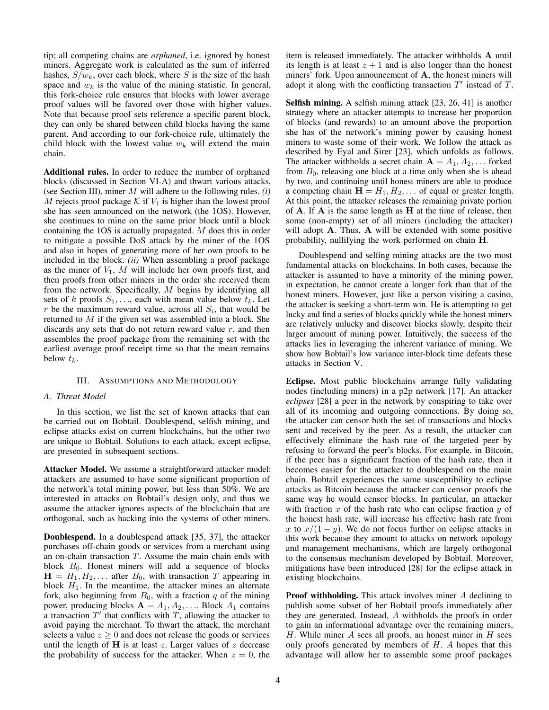tip; all competing chains are *orphaned*, i.e. ignored by honest miners. Aggregate work is calculated as the sum of inferred hashes,  $S/w_k$ , over each block, where S is the size of the hash space and  $w_k$  is the value of the mining statistic. In general, this fork-choice rule ensures that blocks with lower average proof values will be favored over those with higher values. Note that because proof sets reference a specific parent block, they can only be shared between child blocks having the same parent. And according to our fork-choice rule, ultimately the child block with the lowest value  $w_k$  will extend the main chain.

Additional rules. In order to reduce the number of orphaned blocks (discussed in Section [VI-A\)](#page-8-0) and thwart various attacks, (see Section [III\)](#page-3-0), miner M will adhere to the following rules. *(i)* M rejects proof package  $\mathcal K$  if  $V_1$  is higher than the lowest proof she has seen announced on the network (the 1OS). However, she continues to mine on the same prior block until a block containing the 1OS is actually propagated. M does this in order to mitigate a possible DoS attack by the miner of the 1OS and also in hopes of generating more of her own proofs to be included in the block. *(ii)* When assembling a proof package as the miner of  $V_1$ , M will include her own proofs first, and then proofs from other miners in the order she received them from the network. Specifically, M begins by identifying all sets of k proofs  $S_1, \ldots$ , each with mean value below  $t_k$ . Let r be the maximum reward value, across all  $S_i$ , that would be returned to  $M$  if the given set was assembled into a block. She discards any sets that do not return reward value  $r$ , and then assembles the proof package from the remaining set with the earliest average proof receipt time so that the mean remains below  $t_k$ .

# III. ASSUMPTIONS AND METHODOLOGY

#### <span id="page-3-0"></span>*A. Threat Model*

In this section, we list the set of known attacks that can be carried out on Bobtail. Doublespend, selfish mining, and eclipse attacks exist on current blockchains, but the other two are unique to Bobtail. Solutions to each attack, except eclipse, are presented in subsequent sections.

Attacker Model. We assume a straightforward attacker model: attackers are assumed to have some significant proportion of the network's total mining power, but less than 50%. We are interested in attacks on Bobtail's design only, and thus we assume the attacker ignores aspects of the blockchain that are orthogonal, such as hacking into the systems of other miners.

Doublespend. In a doublespend attack [\[35,](#page-14-0) [37\]](#page-14-8), the attacker purchases off-chain goods or services from a merchant using an on-chain transaction  $T$ . Assume the main chain ends with block  $B_0$ . Honest miners will add a sequence of blocks  $H = H_1, H_2, \ldots$  after  $B_0$ , with transaction T appearing in block  $H_1$ . In the meantime, the attacker mines an alternate fork, also beginning from  $B_0$ , with a fraction q of the mining power, producing blocks  $A = A_1, A_2, \dots$  Block  $A_1$  contains a transaction  $T'$  that conflicts with  $T$ , allowing the attacker to avoid paying the merchant. To thwart the attack, the merchant selects a value  $z \geq 0$  and does not release the goods or services until the length of  $H$  is at least  $z$ . Larger values of  $z$  decrease the probability of success for the attacker. When  $z = 0$ , the item is released immediately. The attacker withholds A until its length is at least  $z + 1$  and is also longer than the honest miners' fork. Upon announcement of A, the honest miners will adopt it along with the conflicting transaction  $T'$  instead of  $T$ .

Selfish mining. A selfish mining attack [\[23,](#page-14-5) [26,](#page-14-9) [41\]](#page-14-10) is another strategy where an attacker attempts to increase her proportion of blocks (and rewards) to an amount above the proportion she has of the network's mining power by causing honest miners to waste some of their work. We follow the attack as described by Eyal and Sirer [\[23\]](#page-14-5), which unfolds as follows. The attacker withholds a secret chain  $A = A_1, A_2, \ldots$  forked from  $B_0$ , releasing one block at a time only when she is ahead by two, and continuing until honest miners are able to produce a competing chain  $H = H_1, H_2, \dots$  of equal or greater length. At this point, the attacker releases the remaining private portion of  $A$ . If  $A$  is the same length as  $H$  at the time of release, then some (non-empty) set of all miners (including the attacker) will adopt A. Thus, A will be extended with some positive probability, nullifying the work performed on chain H.

Doublespend and selfing mining attacks are the two most fundamental attacks on blockchains. In both cases, because the attacker is assumed to have a minority of the mining power, in expectation, he cannot create a longer fork than that of the honest miners. However, just like a person visiting a casino, the attacker is seeking a short-term win. He is attempting to get lucky and find a series of blocks quickly while the honest miners are relatively unlucky and discover blocks slowly, despite their larger amount of mining power. Intuitively, the success of the attacks lies in leveraging the inherent variance of mining. We show how Bobtail's low variance inter-block time defeats these attacks in Section [V.](#page-7-0)

Eclipse. Most public blockchains arrange fully validating nodes (including miners) in a p2p network [\[17\]](#page-14-11). An attacker *eclipses* [\[28\]](#page-14-12) a peer in the network by conspiring to take over all of its incoming and outgoing connections. By doing so, the attacker can censor both the set of transactions and blocks sent and received by the peer. As a result, the attacker can effectively eliminate the hash rate of the targeted peer by refusing to forward the peer's blocks. For example, in Bitcoin, if the peer has a significant fraction of the hash rate, then it becomes easier for the attacker to doublespend on the main chain. Bobtail experiences the same susceptibility to eclipse attacks as Bitcoin because the attacker can censor proofs the same way he would censor blocks. In particular, an attacker with fraction x of the hash rate who can eclipse fraction  $y$  of the honest hash rate, will increase his effective hash rate from x to  $x/(1-y)$ . We do not focus further on eclipse attacks in this work because they amount to attacks on network topology and management mechanisms, which are largely orthogonal to the consensus mechanism developed by Bobtail. Moreover, mitigations have been introduced [\[28\]](#page-14-12) for the eclipse attack in existing blockchains.

Proof withholding. This attack involves miner A declining to publish some subset of her Bobtail proofs immediately after they are generated. Instead, A withholds the proofs in order to gain an informational advantage over the remaining miners,  $H$ . While miner  $A$  sees all proofs, an honest miner in  $H$  sees only proofs generated by members of  $H$ . A hopes that this advantage will allow her to assemble some proof packages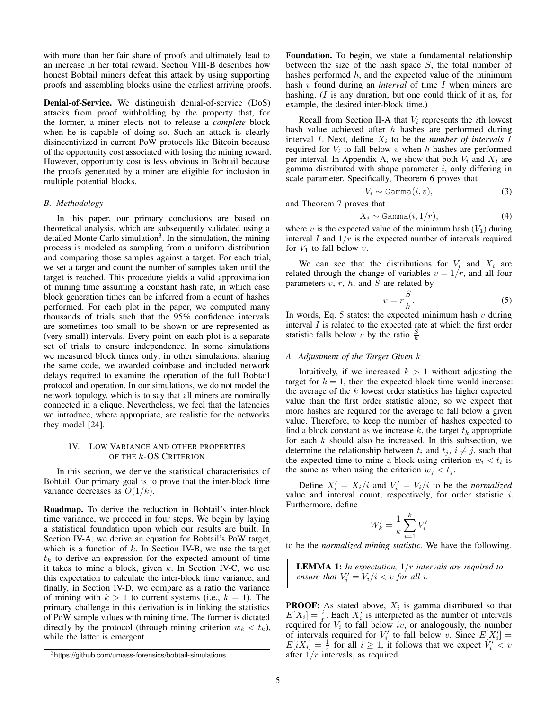with more than her fair share of proofs and ultimately lead to an increase in her total reward. Section [VIII-B](#page-10-0) describes how honest Bobtail miners defeat this attack by using supporting proofs and assembling blocks using the earliest arriving proofs.

Denial-of-Service. We distinguish denial-of-service (DoS) attacks from proof withholding by the property that, for the former, a miner elects not to release a *complete* block when he is capable of doing so. Such an attack is clearly disincentivized in current PoW protocols like Bitcoin because of the opportunity cost associated with losing the mining reward. However, opportunity cost is less obvious in Bobtail because the proofs generated by a miner are eligible for inclusion in multiple potential blocks.

#### *B. Methodology*

In this paper, our primary conclusions are based on theoretical analysis, which are subsequently validated using a detailed Monte Carlo simulation<sup>[3](#page-4-1)</sup>. In the simulation, the mining process is modeled as sampling from a uniform distribution and comparing those samples against a target. For each trial, we set a target and count the number of samples taken until the target is reached. This procedure yields a valid approximation of mining time assuming a constant hash rate, in which case block generation times can be inferred from a count of hashes performed. For each plot in the paper, we computed many thousands of trials such that the 95% confidence intervals are sometimes too small to be shown or are represented as (very small) intervals. Every point on each plot is a separate set of trials to ensure independence. In some simulations we measured block times only; in other simulations, sharing the same code, we awarded coinbase and included network delays required to examine the operation of the full Bobtail protocol and operation. In our simulations, we do not model the network topology, which is to say that all miners are nominally connected in a clique. Nevertheless, we feel that the latencies we introduce, where appropriate, are realistic for the networks they model [\[24\]](#page-14-13).

# <span id="page-4-0"></span>IV. LOW VARIANCE AND OTHER PROPERTIES OF THE *k*-OS CRITERION

In this section, we derive the statistical characteristics of Bobtail. Our primary goal is to prove that the inter-block time variance decreases as  $O(1/k)$ .

Roadmap. To derive the reduction in Bobtail's inter-block time variance, we proceed in four steps. We begin by laying a statistical foundation upon which our results are built. In Section [IV-A,](#page-4-2) we derive an equation for Bobtail's PoW target, which is a function of  $k$ . In Section [IV-B,](#page-5-0) we use the target  $t_k$  to derive an expression for the expected amount of time it takes to mine a block, given  $k$ . In Section [IV-C,](#page-5-1) we use this expectation to calculate the inter-block time variance, and finally, in Section [IV-D,](#page-6-0) we compare as a ratio the variance of mining with  $k > 1$  to current systems (i.e.,  $k = 1$ ). The primary challenge in this derivation is in linking the statistics of PoW sample values with mining time. The former is dictated directly by the protocol (through mining criterion  $w_k < t_k$ ), while the latter is emergent.

Foundation. To begin, we state a fundamental relationship between the size of the hash space  $S$ , the total number of hashes performed  $h$ , and the expected value of the minimum hash v found during an *interval* of time I when miners are hashing. (*I* is any duration, but one could think of it as, for example, the desired inter-block time.)

Recall from Section [II-A](#page-1-1) that  $V_i$  represents the *i*th lowest hash value achieved after  $h$  hashes are performed during interval  $I$ . Next, define  $X_i$  to be the *number of intervals*  $I$ required for  $V_i$  to fall below v when h hashes are performed per interval. In Appendix [A,](#page-14-14) we show that both  $V_i$  and  $X_i$  are gamma distributed with shape parameter  $i$ , only differing in scale parameter. Specifically, Theorem [6](#page-14-15) proves that

 $V_i \sim \text{Gamma}(i, v),$  (3)

and Theorem [7](#page-15-0) proves that

$$
X_i \sim \text{Gamma}(i, 1/r),\tag{4}
$$

where v is the expected value of the minimum hash  $(V_1)$  during interval I and  $1/r$  is the expected number of intervals required for  $V_1$  to fall below v.

We can see that the distributions for  $V_i$  and  $X_i$  are related through the change of variables  $v = 1/r$ , and all four parameters  $v, r, h$ , and  $S$  are related by

<span id="page-4-3"></span>
$$
v = r\frac{S}{h}.\tag{5}
$$

In words, Eq. [5](#page-4-3) states: the expected minimum hash  $v$  during interval  $I$  is related to the expected rate at which the first order statistic falls below v by the ratio  $\frac{S}{h}$ .

# <span id="page-4-2"></span>*A. Adjustment of the Target Given* k

Intuitively, if we increased  $k > 1$  without adjusting the target for  $k = 1$ , then the expected block time would increase: the average of the  $k$  lowest order statistics has higher expected value than the first order statistic alone, so we expect that more hashes are required for the average to fall below a given value. Therefore, to keep the number of hashes expected to find a block constant as we increase k, the target  $t_k$  appropriate for each  $k$  should also be increased. In this subsection, we determine the relationship between  $t_i$  and  $t_j$ ,  $i \neq j$ , such that the expected time to mine a block using criterion  $w_i < t_i$  is the same as when using the criterion  $w_j < t_j$ .

Define  $X'_i = X_i/i$  and  $V'_i = V_i/i$  to be the *normalized* value and interval count, respectively, for order statistic i. Furthermore, define

$$
W'_k = \frac{1}{k} \sum_{i=1}^k V'_i
$$

to be the *normalized mining statistic*. We have the following.

<span id="page-4-4"></span>LEMMA 1: *In expectation,* 1/r *intervals are required to ensure that*  $V_i' = V_i/i < v$  *for all i.* 

**PROOF:** As stated above,  $X_i$  is gamma distributed so that  $E[X_i] = \frac{i}{r}$ . Each  $X_i'$  is interpreted as the number of intervals required for  $V_i$  to fall below iv, or analogously, the number of intervals required for  $V_i'$  to fall below v. Since  $E[X_i'] =$  $E[iX_i] = \frac{1}{r}$  for all  $i \ge 1$ , it follows that we expect  $V_i' < v$ after  $1/r$  intervals, as required.

<span id="page-4-1"></span><sup>3</sup><https://github.com/umass-forensics/bobtail-simulations>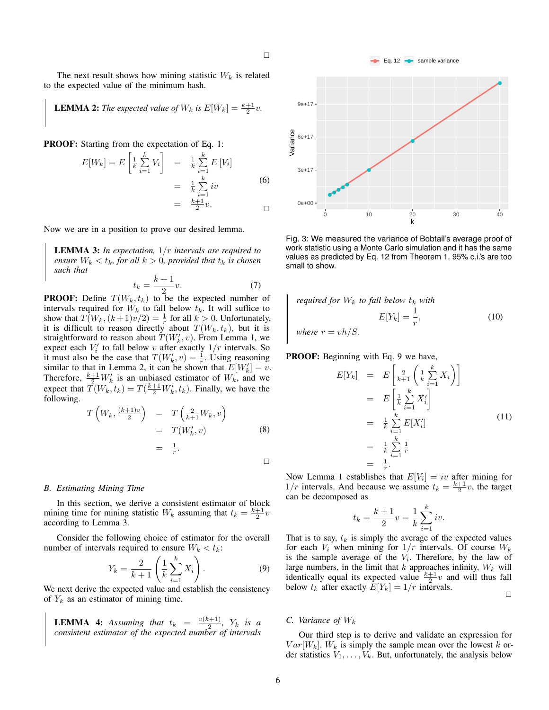The next result shows how mining statistic  $W_k$  is related to the expected value of the minimum hash.

<span id="page-5-2"></span>**LEMMA 2:** The expected value of 
$$
W_k
$$
 is  $E[W_k] = \frac{k+1}{2}v$ .

PROOF: Starting from the expectation of Eq. [1:](#page-1-2)

$$
E[W_k] = E\left[\frac{1}{k}\sum_{i=1}^k V_i\right] = \frac{1}{k}\sum_{i=1}^k E[V_i]
$$

$$
= \frac{1}{k}\sum_{i=1}^k iv
$$
(6)
$$
= \frac{k+1}{2}v.
$$

Now we are in a position to prove our desired lemma.

<span id="page-5-3"></span>LEMMA 3: *In expectation,* 1/r *intervals are required to ensure*  $W_k < t_k$ *, for all*  $k > 0$ *, provided that*  $t_k$  *is chosen such that*

$$
t_k = \frac{k+1}{2}v.\tag{7}
$$

**PROOF:** Define  $T(W_k, t_k)$  to be the expected number of intervals required for  $W_k$  to fall below  $t_k$ . It will suffice to show that  $T(W_k,(k+1)v/2) = \frac{1}{r}$  for all  $k > 0$ . Unfortunately, it is difficult to reason directly about  $T(W_k, t_k)$ , but it is straightforward to reason about  $T(W_k', v)$ . From Lemma [1,](#page-4-4) we expect each  $V_i'$  to fall below v after exactly  $1/r$  intervals. So it must also be the case that  $T(W_k, v) = \frac{1}{r}$ . Using reasoning similar to that in Lemma [2,](#page-5-2) it can be shown that  $E[W'_k] = v$ . Therefore,  $\frac{k+1}{2}W'_k$  is an unbiased estimator of  $W_k$ , and we expect that  $\tilde{T}(W_k, t_k) = T(\frac{k+1}{2}W'_k, t_k)$ . Finally, we have the following.

$$
T\left(W_k, \frac{(k+1)v}{2}\right) = T\left(\frac{2}{k+1}W_k, v\right)
$$
  
=  $T(W'_k, v)$  (8)  
=  $\frac{1}{r}$ .

### <span id="page-5-0"></span>*B. Estimating Mining Time*

In this section, we derive a consistent estimator of block mining time for mining statistic  $W_k$  assuming that  $t_k = \frac{k+1}{2}v$ according to Lemma [3.](#page-5-3)

Consider the following choice of estimator for the overall number of intervals required to ensure  $W_k < t_k$ :

<span id="page-5-4"></span>
$$
Y_k = \frac{2}{k+1} \left( \frac{1}{k} \sum_{i=1}^k X_i \right). \tag{9}
$$

We next derive the expected value and establish the consistency of  $Y_k$  as an estimator of mining time.

<span id="page-5-6"></span>**LEMMA 4:** Assuming that  $t_k = \frac{v(k+1)}{2}$  $\frac{(k+1)}{2}$ ,  $Y_k$  *is a consistent estimator of the expected number of intervals*

<span id="page-5-5"></span>

Fig. 3: We measured the variance of Bobtail's average proof of work statistic using a Monte Carlo simulation and it has the same values as predicted by Eq. [12](#page-6-1) from Theorem [1.](#page-6-2) 95% c.i.'s are too small to show.

required for 
$$
W_k
$$
 to fall below  $t_k$  with  
\n
$$
E[Y_k] = \frac{1}{r},
$$
\n(10)  
\nwhere  $r = vh/S$ .

**PROOF:** Beginning with Eq. [9](#page-5-4) we have,

 $E[$ 

$$
Y_k] = E\left[\frac{2}{k+1}\left(\frac{1}{k}\sum_{i=1}^k X_i\right)\right]
$$
  
\n
$$
= E\left[\frac{1}{k}\sum_{i=1}^k X'_i\right]
$$
  
\n
$$
= \frac{1}{k}\sum_{i=1}^k E[X'_i]
$$
  
\n
$$
= \frac{1}{k}\sum_{i=1}^k \frac{1}{r}
$$
  
\n
$$
= \frac{1}{r}.
$$
  
\n(11)

Now Lemma [1](#page-4-4) establishes that  $E[V_i] = iv$  after mining for  $1/r$  intervals. And because we assume  $t_k = \frac{k+1}{2}v$ , the target can be decomposed as

$$
t_k = \frac{k+1}{2}v = \frac{1}{k} \sum_{i=1}^{k} iv.
$$

That is to say,  $t_k$  is simply the average of the expected values for each  $V_i$  when mining for  $1/r$  intervals. Of course  $W_k$ is the sample average of the  $V_i$ . Therefore, by the law of large numbers, in the limit that k approaches infinity,  $W_k$  will identically equal its expected value  $\frac{k+1}{2}v$  and will thus fall below  $t_k$  after exactly  $E[Y_k] = 1/r$  intervals.  $\Box$ 

### <span id="page-5-1"></span>*C. Variance of* W<sup>k</sup>

Our third step is to derive and validate an expression for  $Var[W_k]$ .  $W_k$  is simply the sample mean over the lowest k order statistics  $V_1, \ldots, V_k$ . But, unfortunately, the analysis below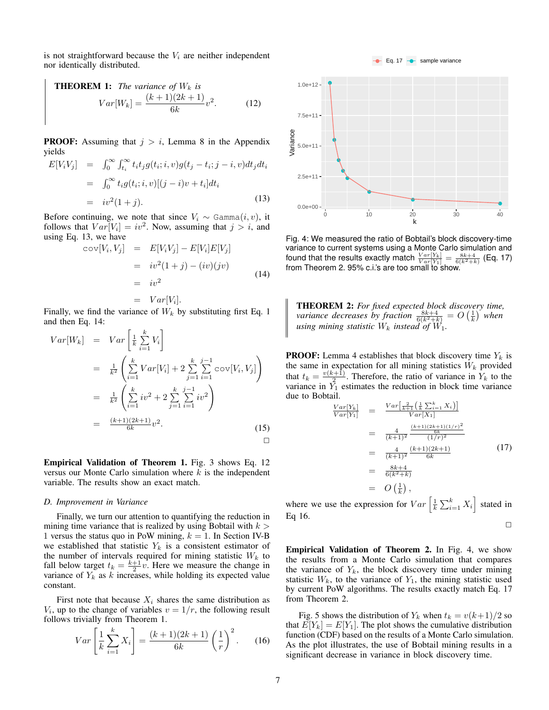is not straightforward because the  $V_i$  are neither independent nor identically distributed.

<span id="page-6-2"></span><span id="page-6-1"></span>**THEOREM 1:** The variance of 
$$
W_k
$$
 is  

$$
Var[W_k] = \frac{(k+1)(2k+1)}{6k}v^2.
$$
 (12)

**PROOF:** Assuming that  $j > i$ , Lemma [8](#page-15-1) in the Appendix yields

<span id="page-6-3"></span>
$$
E[V_iV_j] = \int_0^\infty \int_{t_i}^\infty t_i t_j g(t_i; i, v) g(t_j - t_i; j - i, v) dt_j dt_i
$$
  

$$
= \int_0^\infty t_i g(t_i; i, v) [(j - i)v + t_i] dt_i
$$
  

$$
= iv^2(1 + j).
$$
 (13)

Before continuing, we note that since  $V_i \sim \text{Gamma}(i, v)$ , it follows that  $Var[V_i] = iv^2$ . Now, assuming that  $j > i$ , and using Eq. [13,](#page-6-3) we have

<span id="page-6-4"></span>
$$
cov[V_i, V_j] = E[V_iV_j] - E[V_i]E[V_j]
$$
  
\n
$$
= iv^2(1+j) - (iv)(jv)
$$
  
\n
$$
= iv^2
$$
  
\n
$$
= Var[V_i].
$$
\n(14)

Finally, we find the variance of  $W_k$  by substituting first Eq. [1](#page-1-2) and then Eq. [14:](#page-6-4)

$$
Var[W_k] = Var\left[\frac{1}{k}\sum_{i=1}^k V_i\right]
$$
  
\n
$$
= \frac{1}{k^2} \left( \sum_{i=1}^k Var[V_i] + 2 \sum_{j=1}^k \sum_{i=1}^{j-1} cov[V_i, V_j] \right)
$$
  
\n
$$
= \frac{1}{k^2} \left( \sum_{i=1}^k iv^2 + 2 \sum_{j=1}^k \sum_{i=1}^{j-1} iv^2 \right)
$$
  
\n
$$
= \frac{(k+1)(2k+1)}{6k}v^2.
$$
 (15)

Empirical Validation of Theorem [1.](#page-6-2) Fig. [3](#page-5-5) shows Eq. [12](#page-6-1) versus our Monte Carlo simulation where  $k$  is the independent variable. The results show an exact match.

#### <span id="page-6-0"></span>*D. Improvement in Variance*

Finally, we turn our attention to quantifying the reduction in mining time variance that is realized by using Bobtail with  $k >$ 1 versus the status quo in PoW mining,  $k = 1$ . In Section [IV-B](#page-5-0) we established that statistic  $Y_k$  is a consistent estimator of the number of intervals required for mining statistic  $W_k$  to fall below target  $t_k = \frac{k+1}{2}v$ . Here we measure the change in variance of  $Y_k$  as k increases, while holding its expected value constant.

First note that because  $X_i$  shares the same distribution as  $V_i$ , up to the change of variables  $v = 1/r$ , the following result follows trivially from Theorem [1.](#page-6-2)

<span id="page-6-7"></span>
$$
Var\left[\frac{1}{k}\sum_{i=1}^{k}X_i\right] = \frac{(k+1)(2k+1)}{6k}\left(\frac{1}{r}\right)^2.
$$
 (16)

<span id="page-6-8"></span>

Fig. 4: We measured the ratio of Bobtail's block discovery-time variance to current systems using a Monte Carlo simulation and found that the results exactly match  $\frac{Var[Y_k]}{Var[Y_1]} = \frac{8k+4}{6(k^2+k)}$  (Eq. [17\)](#page-6-5) from Theorem [2.](#page-6-6) 95% c.i.'s are too small to show.

<span id="page-6-6"></span>THEOREM 2: *For fixed expected block discovery time, variance decreases by fraction*  $\frac{8k+4}{6(k^2+k)} = O\left(\frac{1}{k}\right)$  when *using mining statistic*  $W_k$  *instead of*  $W_1$ .

**PROOF:** Lemma [4](#page-5-6) establishes that block discovery time  $Y_k$  is the same in expectation for all mining statistics  $W_k$  provided that  $t_k = \frac{v(k+1)}{2}$  $\frac{(n+1)}{2}$ . Therefore, the ratio of variance in  $Y_k$  to the variance in  $\tilde{Y}_1$  estimates the reduction in block time variance due to Bobtail.

<span id="page-6-5"></span>
$$
\frac{Var[Y_k]}{Var[Y_1]} = \frac{Var\left[\frac{2}{k+1}\left(\frac{1}{k}\sum_{i=1}^k X_i\right)\right]}{Var[X_1]} \\
= \frac{4}{(k+1)^2} \frac{\frac{(k+1)(2k+1)(1/r)^2}{6k}}{(1/r)^2} \\
= \frac{4}{(k+1)^2} \frac{(k+1)(2k+1)}{6k} \\
= \frac{8k+4}{6(k^2+k)} \\
= O\left(\frac{1}{k}\right),
$$
\n(17)

where we use the expression for  $Var\left[\frac{1}{k}\sum_{i=1}^{k}X_i\right]$  stated in Eq [16.](#page-6-7)

 $\Box$ 

Empirical Validation of Theorem [2.](#page-6-6) In Fig. [4,](#page-6-8) we show the results from a Monte Carlo simulation that compares the variance of  $Y_k$ , the block discovery time under mining statistic  $W_k$ , to the variance of  $Y_1$ , the mining statistic used by current PoW algorithms. The results exactly match Eq. [17](#page-6-5) from Theorem [2.](#page-6-6)

Fig. [5](#page-7-2) shows the distribution of  $Y_k$  when  $t_k = v(k+1)/2$  so that  $E[Y_k] = E[Y_1]$ . The plot shows the cumulative distribution function (CDF) based on the results of a Monte Carlo simulation. As the plot illustrates, the use of Bobtail mining results in a significant decrease in variance in block discovery time.

Eq. 17  $\rightarrow$  sample variance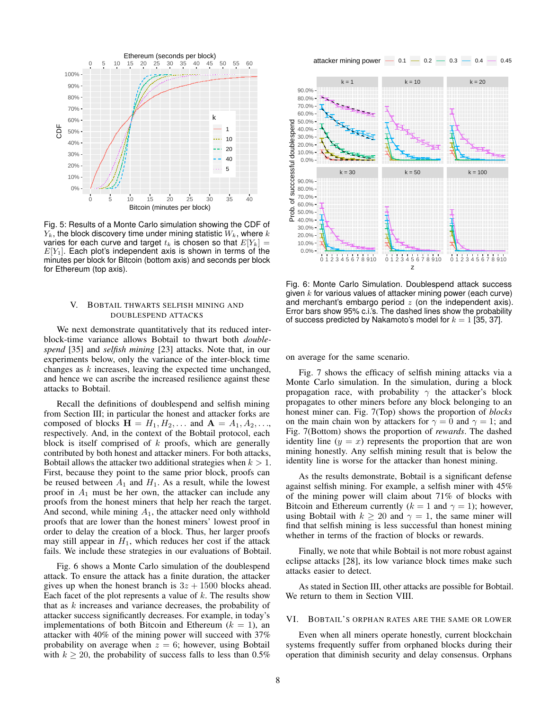<span id="page-7-2"></span>

Fig. 5: Results of a Monte Carlo simulation showing the CDF of  $Y_k$ , the block discovery time under mining statistic  $W_k$ , where k varies for each curve and target  $t_k$  is chosen so that  $E[Y_k] =$  $E[Y_1]$ . Each plot's independent axis is shown in terms of the minutes per block for Bitcoin (bottom axis) and seconds per block for Ethereum (top axis).

# <span id="page-7-0"></span>V. BOBTAIL THWARTS SELFISH MINING AND DOUBLESPEND ATTACKS

We next demonstrate quantitatively that its reduced interblock-time variance allows Bobtail to thwart both *doublespend* [\[35\]](#page-14-0) and *selfish mining* [\[23\]](#page-14-5) attacks. Note that, in our experiments below, only the variance of the inter-block time changes as  $k$  increases, leaving the expected time unchanged, and hence we can ascribe the increased resilience against these attacks to Bobtail.

Recall the definitions of doublespend and selfish mining from Section [III;](#page-3-0) in particular the honest and attacker forks are composed of blocks  $\mathbf{H} = H_1, H_2, \dots$  and  $\mathbf{A} = A_1, A_2, \dots$ respectively. And, in the context of the Bobtail protocol, each block is itself comprised of  $k$  proofs, which are generally contributed by both honest and attacker miners. For both attacks, Bobtail allows the attacker two additional strategies when  $k > 1$ . First, because they point to the same prior block, proofs can be reused between  $A_1$  and  $H_1$ . As a result, while the lowest proof in  $A_1$  must be her own, the attacker can include any proofs from the honest miners that help her reach the target. And second, while mining  $A_1$ , the attacker need only withhold proofs that are lower than the honest miners' lowest proof in order to delay the creation of a block. Thus, her larger proofs may still appear in  $H_1$ , which reduces her cost if the attack fails. We include these strategies in our evaluations of Bobtail.

Fig. [6](#page-7-3) shows a Monte Carlo simulation of the doublespend attack. To ensure the attack has a finite duration, the attacker gives up when the honest branch is  $3z + 1500$  blocks ahead. Each facet of the plot represents a value of  $k$ . The results show that as  $k$  increases and variance decreases, the probability of attacker success significantly decreases. For example, in today's implementations of both Bitcoin and Ethereum  $(k = 1)$ , an attacker with 40% of the mining power will succeed with 37% probability on average when  $z = 6$ ; however, using Bobtail with  $k \ge 20$ , the probability of success falls to less than 0.5% attacker mining power  $-$  0.1  $-$  0.2  $-$  0.3  $-$  0.4  $-$  0.45

<span id="page-7-3"></span>

Fig. 6: Monte Carlo Simulation. Doublespend attack success given  $k$  for various values of attacker mining power (each curve) and merchant's embargo period  $z$  (on the independent axis). Error bars show 95% c.i.'s. The dashed lines show the probability of success predicted by Nakamoto's model for  $k = 1$  [\[35,](#page-14-0) [37\]](#page-14-8).

on average for the same scenario.

Fig. [7](#page-8-1) shows the efficacy of selfish mining attacks via a Monte Carlo simulation. In the simulation, during a block propagation race, with probability  $\gamma$  the attacker's block propagates to other miners before any block belonging to an honest miner can. Fig. [7\(](#page-8-1)Top) shows the proportion of *blocks* on the main chain won by attackers for  $\gamma = 0$  and  $\gamma = 1$ ; and Fig. [7\(](#page-8-1)Bottom) shows the proportion of *rewards*. The dashed identity line  $(y = x)$  represents the proportion that are won mining honestly. Any selfish mining result that is below the identity line is worse for the attacker than honest mining.

As the results demonstrate, Bobtail is a significant defense against selfish mining. For example, a selfish miner with 45% of the mining power will claim about 71% of blocks with Bitcoin and Ethereum currently ( $k = 1$  and  $\gamma = 1$ ); however, using Bobtail with  $k \ge 20$  and  $\gamma = 1$ , the same miner will find that selfish mining is less successful than honest mining whether in terms of the fraction of blocks or rewards.

Finally, we note that while Bobtail is not more robust against eclipse attacks [\[28\]](#page-14-12), its low variance block times make such attacks easier to detect.

As stated in Section [III,](#page-3-0) other attacks are possible for Bobtail. We return to them in Section [VIII.](#page-9-1)

#### <span id="page-7-1"></span>VI. BOBTAIL'S ORPHAN RATES ARE THE SAME OR LOWER

Even when all miners operate honestly, current blockchain systems frequently suffer from orphaned blocks during their operation that diminish security and delay consensus. Orphans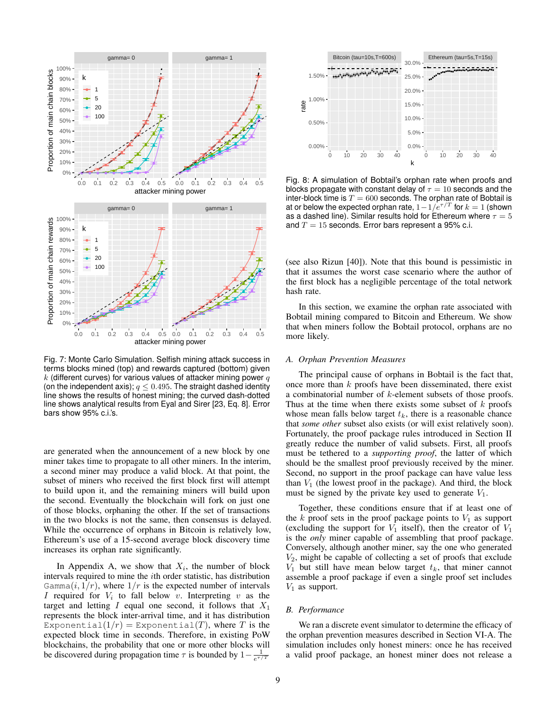<span id="page-8-1"></span>

Fig. 7: Monte Carlo Simulation. Selfish mining attack success in terms blocks mined (top) and rewards captured (bottom) given k (different curves) for various values of attacker mining power  $q$ (on the independent axis);  $q \leq 0.495$ . The straight dashed identity line shows the results of honest mining; the curved dash-dotted line shows analytical results from Eyal and Sirer [\[23,](#page-14-5) Eq. 8]. Error bars show 95% c.i.'s.

are generated when the announcement of a new block by one miner takes time to propagate to all other miners. In the interim, a second miner may produce a valid block. At that point, the subset of miners who received the first block first will attempt to build upon it, and the remaining miners will build upon the second. Eventually the blockchain will fork on just one of those blocks, orphaning the other. If the set of transactions in the two blocks is not the same, then consensus is delayed. While the occurrence of orphans in Bitcoin is relatively low, Ethereum's use of a 15-second average block discovery time increases its orphan rate significantly.

In Appendix [A,](#page-14-14) we show that  $X_i$ , the number of block intervals required to mine the ith order statistic, has distribution Gamma $(i, 1/r)$ , where  $1/r$  is the expected number of intervals I required for  $V_i$  to fall below v. Interpreting v as the target and letting  $I$  equal one second, it follows that  $X_1$ represents the block inter-arrival time, and it has distribution Exponential( $1/r$ ) = Exponential(T), where T is the expected block time in seconds. Therefore, in existing PoW blockchains, the probability that one or more other blocks will be discovered during propagation time  $\tau$  is bounded by  $1 - \frac{1}{e^{\tau/T}}$ 

<span id="page-8-2"></span>

Fig. 8: A simulation of Bobtail's orphan rate when proofs and blocks propagate with constant delay of  $\tau = 10$  seconds and the inter-block time is  $T = 600$  seconds. The orphan rate of Bobtail is at or below the expected orphan rate,  $1-1/e^{\tau/T}$  for  $k=1$  (shown as a dashed line). Similar results hold for Ethereum where  $\tau = 5$ and  $T = 15$  seconds. Error bars represent a 95% c.i.

(see also Rizun [\[40\]](#page-14-16)). Note that this bound is pessimistic in that it assumes the worst case scenario where the author of the first block has a negligible percentage of the total network hash rate.

In this section, we examine the orphan rate associated with Bobtail mining compared to Bitcoin and Ethereum. We show that when miners follow the Bobtail protocol, orphans are no more likely.

# <span id="page-8-0"></span>*A. Orphan Prevention Measures*

The principal cause of orphans in Bobtail is the fact that, once more than k proofs have been disseminated, there exist a combinatorial number of k-element subsets of those proofs. Thus at the time when there exists some subset of  $k$  proofs whose mean falls below target  $t_k$ , there is a reasonable chance that *some other* subset also exists (or will exist relatively soon). Fortunately, the proof package rules introduced in Section [II](#page-1-3) greatly reduce the number of valid subsets. First, all proofs must be tethered to a *supporting proof*, the latter of which should be the smallest proof previously received by the miner. Second, no support in the proof package can have value less than  $V_1$  (the lowest proof in the package). And third, the block must be signed by the private key used to generate  $V_1$ .

Together, these conditions ensure that if at least one of the k proof sets in the proof package points to  $V_1$  as support (excluding the support for  $V_1$  itself), then the creator of  $V_1$ is the *only* miner capable of assembling that proof package. Conversely, although another miner, say the one who generated  $V_2$ , might be capable of collecting a set of proofs that exclude  $V_1$  but still have mean below target  $t_k$ , that miner cannot assemble a proof package if even a single proof set includes  $V_1$  as support.

## *B. Performance*

We ran a discrete event simulator to determine the efficacy of the orphan prevention measures described in Section [VI-A.](#page-8-0) The simulation includes only honest miners: once he has received a valid proof package, an honest miner does not release a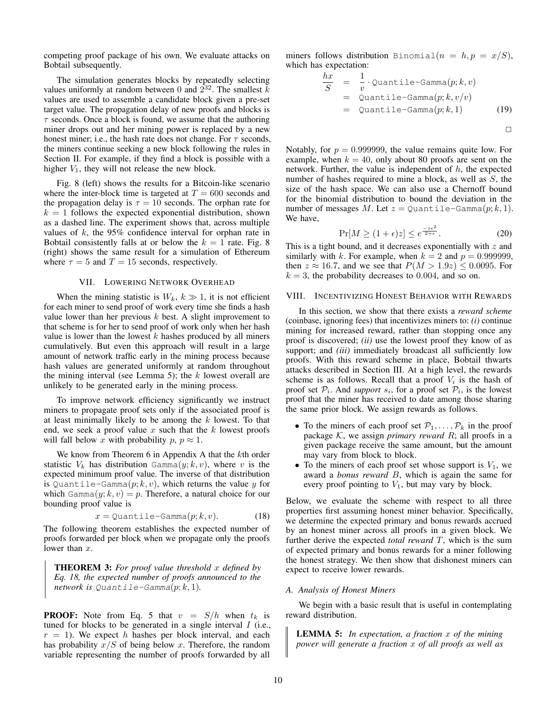competing proof package of his own. We evaluate attacks on Bobtail subsequently.

The simulation generates blocks by repeatedly selecting values uniformly at random between 0 and  $2^{32}$ . The smallest k values are used to assemble a candidate block given a pre-set target value. The propagation delay of new proofs and blocks is  $\tau$  seconds. Once a block is found, we assume that the authoring miner drops out and her mining power is replaced by a new honest miner; i.e., the hash rate does not change. For  $\tau$  seconds, the miners continue seeking a new block following the rules in Section [II.](#page-1-3) For example, if they find a block is possible with a higher  $V_1$ , they will not release the new block.

Fig. [8](#page-8-2) (left) shows the results for a Bitcoin-like scenario where the inter-block time is targeted at  $T = 600$  seconds and the propagation delay is  $\tau = 10$  seconds. The orphan rate for  $k = 1$  follows the expected exponential distribution, shown as a dashed line. The experiment shows that, across multiple values of  $k$ , the 95% confidence interval for orphan rate in Bobtail consistently falls at or below the  $k = 1$  rate. Fig. [8](#page-8-2) (right) shows the same result for a simulation of Ethereum where  $\tau = 5$  and  $T = 15$  seconds, respectively.

## VII. LOWERING NETWORK OVERHEAD

<span id="page-9-0"></span>When the mining statistic is  $W_k$ ,  $k \gg 1$ , it is not efficient for each miner to send proof of work every time she finds a hash value lower than her previous  $k$  best. A slight improvement to that scheme is for her to send proof of work only when her hash value is lower than the lowest  $k$  hashes produced by all miners cumulatively. But even this approach will result in a large amount of network traffic early in the mining process because hash values are generated uniformly at random throughout the mining interval (see Lemma [5\)](#page-9-2); the  $k$  lowest overall are unlikely to be generated early in the mining process.

To improve network efficiency significantly we instruct miners to propagate proof sets only if the associated proof is at least minimally likely to be among the  $k$  lowest. To that end, we seek a proof value x such that the  $k$  lowest proofs will fall below x with probability  $p, p \approx 1$ .

We know from Theorem [6](#page-14-15) in [A](#page-14-14)ppendix A that the kth order statistic  $V_k$  has distribution Gamma $(y; k, v)$ , where v is the expected minimum proof value. The inverse of that distribution is Quantile-Gamma $(p; k, v)$ , which returns the value y for which Gamma $(y; k, v) = p$ . Therefore, a natural choice for our bounding proof value is

<span id="page-9-3"></span>
$$
x = \text{Quantile-Gamma}(p; k, v). \tag{18}
$$

The following theorem establishes the expected number of proofs forwarded per block when we propagate only the proofs lower than  $x$ .

THEOREM 3: *For proof value threshold* x *defined by Eq. [18,](#page-9-3) the expected number of proofs announced to the network is*  $Quantile-Gamma(p; k, 1)$ *.* 

**PROOF:** Note from Eq. [5](#page-4-3) that  $v = S/h$  when  $t_k$  is tuned for blocks to be generated in a single interval  $I$  (i.e.,  $r = 1$ ). We expect h hashes per block interval, and each has probability  $x/S$  of being below x. Therefore, the random variable representing the number of proofs forwarded by all

miners follows distribution Binomial $(n = h, p = x/S)$ , which has expectation:

$$
\frac{hx}{S} = \frac{1}{v} \cdot \text{Quantile-Gamma}(p; k, v)
$$
\n
$$
= \text{Quantile-Gamma}(p; k, v/v)
$$
\n
$$
= \text{Quantile-Gamma}(p; k, 1) \tag{19}
$$

 $\Box$ 

Notably, for  $p = 0.999999$ , the value remains quite low. For example, when  $k = 40$ , only about 80 proofs are sent on the network. Further, the value is independent of  $h$ , the expected number of hashes required to mine a block, as well as S, the size of the hash space. We can also use a Chernoff bound for the binomial distribution to bound the deviation in the number of messages M. Let  $z =$  Quantile-Gamma $(p; k, 1)$ . We have,

$$
\Pr[M \ge (1 + \epsilon)z] \le e^{\frac{-z\epsilon^2}{2+\epsilon}}.\tag{20}
$$

This is a tight bound, and it decreases exponentially with  $z$  and similarly with k. For example, when  $k = 2$  and  $p = 0.999999$ , then  $z \approx 16.7$ , and we see that  $P(M > 1.9z) \le 0.0095$ . For  $k = 3$ , the probability decreases to 0.004, and so on.

# <span id="page-9-1"></span>VIII. INCENTIVIZING HONEST BEHAVIOR WITH REWARDS

In this section, we show that there exists a *reward scheme* (coinbase, ignoring fees) that incentivizes miners to: *(i)* continue mining for increased reward, rather than stopping once any proof is discovered; *(ii)* use the lowest proof they know of as support; and *(iii)* immediately broadcast all sufficiently low proofs. With this reward scheme in place, Bobtail thwarts attacks described in Section [III.](#page-3-0) At a high level, the rewards scheme is as follows. Recall that a proof  $V_i$  is the hash of proof set  $P_i$ . And *support*  $s_i$ , for a proof set  $P_i$ , is the lowest proof that the miner has received to date among those sharing the same prior block. We assign rewards as follows.

- To the miners of each proof set  $\mathcal{P}_1, \ldots, \mathcal{P}_k$  in the proof package  $K$ , we assign *primary reward*  $R$ ; all proofs in a given package receive the same amount, but the amount may vary from block to block.
- To the miners of each proof set whose support is  $V_1$ , we award a *bonus reward* B, which is again the same for every proof pointing to  $V_1$ , but may vary by block.

Below, we evaluate the scheme with respect to all three properties first assuming honest miner behavior. Specifically, we determine the expected primary and bonus rewards accrued by an honest miner across all proofs in a given block. We further derive the expected *total reward* T, which is the sum of expected primary and bonus rewards for a miner following the honest strategy. We then show that dishonest miners can expect to receive lower rewards.

#### *A. Analysis of Honest Miners*

We begin with a basic result that is useful in contemplating reward distribution.

<span id="page-9-2"></span>LEMMA 5: *In expectation, a fraction* x *of the mining power will generate a fraction* x *of all proofs as well as*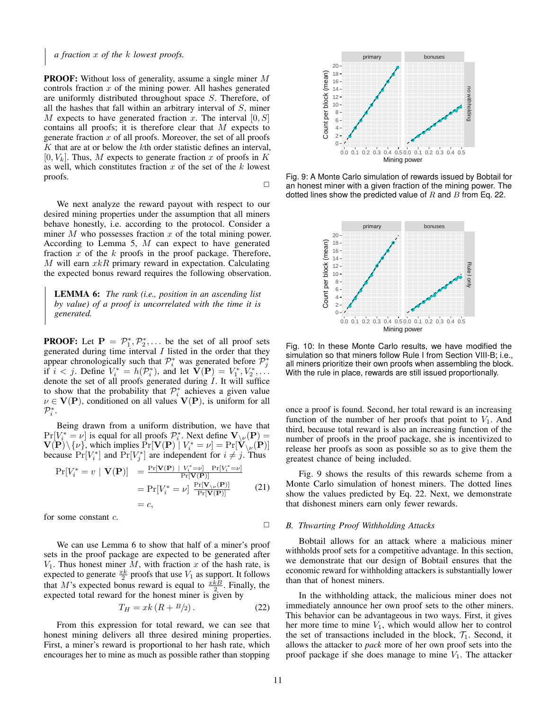# *a fraction* x *of the* k *lowest proofs.*

PROOF: Without loss of generality, assume a single miner M controls fraction  $x$  of the mining power. All hashes generated are uniformly distributed throughout space S. Therefore, of all the hashes that fall within an arbitrary interval of  $S$ , miner M expects to have generated fraction x. The interval  $[0, S]$ contains all proofs; it is therefore clear that  $M$  expects to generate fraction  $x$  of all proofs. Moreover, the set of all proofs  $K$  that are at or below the  $k$ th order statistic defines an interval,  $[0, V_k]$ . Thus, M expects to generate fraction x of proofs in K as well, which constitutes fraction  $x$  of the set of the  $k$  lowest proofs.

 $\Box$ 

We next analyze the reward payout with respect to our desired mining properties under the assumption that all miners behave honestly, i.e. according to the protocol. Consider a miner  $M$  who possesses fraction  $x$  of the total mining power. According to Lemma [5,](#page-9-2) M can expect to have generated fraction  $x$  of the  $k$  proofs in the proof package. Therefore,  $M$  will earn  $xkR$  primary reward in expectation. Calculating the expected bonus reward requires the following observation.

<span id="page-10-1"></span>LEMMA 6: *The rank (i.e., position in an ascending list by value) of a proof is uncorrelated with the time it is generated.*

**PROOF:** Let  $P = P_1^*, P_2^*, \dots$  be the set of all proof sets generated during time interval  $I$  listed in the order that they appear chronologically such that  $\mathcal{P}_i^*$  was generated before  $\mathcal{P}_j^*$ if  $i < j$ . Define  $V_i^* = h(\mathcal{P}_i^*)$ , and let  $\mathbf{V}(\mathbf{P}) = V_1^*, V_2^*, \dots$ denote the set of all proofs generated during I. It will suffice to show that the probability that  $\mathcal{P}_i^*$  achieves a given value  $\nu \in V(P)$ , conditioned on all values  $V(P)$ , is uniform for all  $\mathcal{P}_i^*$ . generate incition a relation the rest of the other of protoks in the course in the content incomes that the possible rather than stress to mental income the possible rather than stress than the content of protoks in Fig.

Being drawn from a uniform distribution, we have that  $Pr[V_i^* = \nu]$  is equal for all proofs  $\mathcal{P}_i^*$ . Next define  $\mathbf{V}_{\setminus \nu}(\mathbf{P}) =$  $\mathbf{V}(\mathbf{P}) \setminus \{\nu\}$ , which implies  $\Pr[\mathbf{V}(\mathbf{P}) \mid V_i^* = \nu] = \Pr[\mathbf{V}_{\setminus \nu}(\mathbf{P})]$ because  $Pr[V_i^*]$  and  $Pr[V_j^*]$  are independent for  $i \neq j$ . Thus

$$
Pr[V_i^* = v \mid \mathbf{V}(\mathbf{P})] = \frac{Pr[\mathbf{V}(\mathbf{P}) \mid V_i^* = \nu] Pr[V_i^* = \nu]}{Pr[\mathbf{V}(\mathbf{P})]}
$$
  
= 
$$
Pr[V_i^* = \nu] \frac{Pr[\mathbf{V}_{\nu}(\mathbf{P})]}{Pr[\mathbf{V}(\mathbf{P})]}
$$
(21)  
= c,

for some constant c.

We can use Lemma [6](#page-10-1) to show that half of a miner's proof sets in the proof package are expected to be generated after  $V_1$ . Thus honest miner M, with fraction x of the hash rate, is expected to generate  $\frac{x k}{2}$  proofs that use  $V_1$  as support. It follows that M's expected bonus reward is equal to  $\frac{xkB}{2}$ . Finally, the expected total reward for the honest miner is given by

<span id="page-10-2"></span>
$$
T_H = xk \left( R + \frac{B}{2} \right). \tag{22}
$$

From this expression for total reward, we can see that honest mining delivers all three desired mining properties. First, a miner's reward is proportional to her hash rate, which

<span id="page-10-3"></span>

Fig. 9: A Monte Carlo simulation of rewards issued by Bobtail for an honest miner with a given fraction of the mining power. The dotted lines show the predicted value of  $R$  and  $B$  from Eq. [22.](#page-10-2)

<span id="page-10-4"></span>

Fig. 10: In these Monte Carlo results, we have modified the simulation so that miners follow Rule I from Section [VIII-B;](#page-10-0) i.e., all miners prioritize their own proofs when assembling the block. With the rule in place, rewards are still issued proportionally.

once a proof is found. Second, her total reward is an increasing function of the number of her proofs that point to  $V_1$ . And third, because total reward is also an increasing function of the number of proofs in the proof package, she is incentivized to release her proofs as soon as possible so as to give them the greatest chance of being included.

Fig. [9](#page-10-3) shows the results of this rewards scheme from a Monte Carlo simulation of honest miners. The dotted lines show the values predicted by Eq. [22.](#page-10-2) Next, we demonstrate that dishonest miners earn only fewer rewards.

#### <span id="page-10-0"></span>*B. Thwarting Proof Withholding Attacks*

Bobtail allows for an attack where a malicious miner withholds proof sets for a competitive advantage. In this section, we demonstrate that our design of Bobtail ensures that the economic reward for withholding attackers is substantially lower than that of honest miners.

In the withholding attack, the malicious miner does not immediately announce her own proof sets to the other miners. This behavior can be advantageous in two ways. First, it gives her more time to mine  $V_1$ , which would allow her to control the set of transactions included in the block,  $\mathcal{T}_1$ . Second, it allows the attacker to *pack* more of her own proof sets into the proof package if she does manage to mine  $V_1$ . The attacker

 $\Box$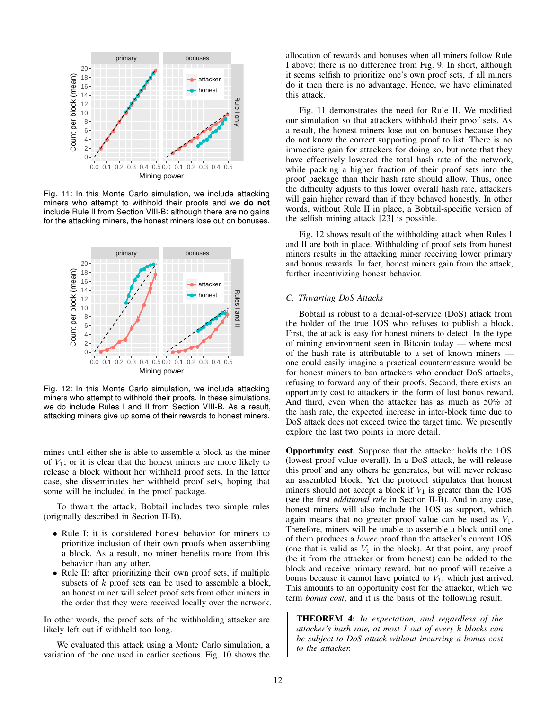<span id="page-11-0"></span>

Fig. 11: In this Monte Carlo simulation, we include attacking miners who attempt to withhold their proofs and we **do not** include Rule II from Section [VIII-B:](#page-10-0) although there are no gains for the attacking miners, the honest miners lose out on bonuses.

<span id="page-11-1"></span>

Fig. 12: In this Monte Carlo simulation, we include attacking miners who attempt to withhold their proofs. In these simulations, we do include Rules I and II from Section [VIII-B.](#page-10-0) As a result, attacking miners give up some of their rewards to honest miners.

mines until either she is able to assemble a block as the miner of  $V_1$ ; or it is clear that the honest miners are more likely to release a block without her withheld proof sets. In the latter case, she disseminates her withheld proof sets, hoping that some will be included in the proof package.

To thwart the attack, Bobtail includes two simple rules (originally described in Section [II-](#page-1-3)B).

- Rule I: it is considered honest behavior for miners to prioritize inclusion of their own proofs when assembling a block. As a result, no miner benefits more from this behavior than any other.
- Rule II: after prioritizing their own proof sets, if multiple subsets of  $k$  proof sets can be used to assemble a block, an honest miner will select proof sets from other miners in the order that they were received locally over the network.

In other words, the proof sets of the withholding attacker are likely left out if withheld too long.

We evaluated this attack using a Monte Carlo simulation, a variation of the one used in earlier sections. Fig. [10](#page-10-4) shows the allocation of rewards and bonuses when all miners follow Rule I above: there is no difference from Fig. [9.](#page-10-3) In short, although it seems selfish to prioritize one's own proof sets, if all miners do it then there is no advantage. Hence, we have eliminated this attack.

Fig. [11](#page-11-0) demonstrates the need for Rule II. We modified our simulation so that attackers withhold their proof sets. As a result, the honest miners lose out on bonuses because they do not know the correct supporting proof to list. There is no immediate gain for attackers for doing so, but note that they have effectively lowered the total hash rate of the network, while packing a higher fraction of their proof sets into the proof package than their hash rate should allow. Thus, once the difficulty adjusts to this lower overall hash rate, attackers will gain higher reward than if they behaved honestly. In other words, without Rule II in place, a Bobtail-specific version of the selfish mining attack [\[23\]](#page-14-5) is possible.

Fig. [12](#page-11-1) shows result of the withholding attack when Rules I and II are both in place. Withholding of proof sets from honest miners results in the attacking miner receiving lower primary and bonus rewards. In fact, honest miners gain from the attack, further incentivizing honest behavior.

#### *C. Thwarting DoS Attacks*

Bobtail is robust to a denial-of-service (DoS) attack from the holder of the true 1OS who refuses to publish a block. First, the attack is easy for honest miners to detect. In the type of mining environment seen in Bitcoin today — where most of the hash rate is attributable to a set of known miners one could easily imagine a practical countermeasure would be for honest miners to ban attackers who conduct DoS attacks, refusing to forward any of their proofs. Second, there exists an opportunity cost to attackers in the form of lost bonus reward. And third, even when the attacker has as much as 50% of the hash rate, the expected increase in inter-block time due to DoS attack does not exceed twice the target time. We presently explore the last two points in more detail.

Opportunity cost. Suppose that the attacker holds the 1OS (lowest proof value overall). In a DoS attack, he will release this proof and any others he generates, but will never release an assembled block. Yet the protocol stipulates that honest miners should not accept a block if  $V_1$  is greater than the 1OS (see the first *additional rule* in Section [II-](#page-1-3)B). And in any case, honest miners will also include the 1OS as support, which again means that no greater proof value can be used as  $V_1$ . Therefore, miners will be unable to assemble a block until one of them produces a *lower* proof than the attacker's current 1OS (one that is valid as  $V_1$  in the block). At that point, any proof (be it from the attacker or from honest) can be added to the block and receive primary reward, but no proof will receive a bonus because it cannot have pointed to  $V_1$ , which just arrived. This amounts to an opportunity cost for the attacker, which we term *bonus cost*, and it is the basis of the following result.

THEOREM 4: *In expectation, and regardless of the attacker's hash rate, at most 1 out of every* k *blocks can be subject to DoS attack without incurring a bonus cost to the attacker.*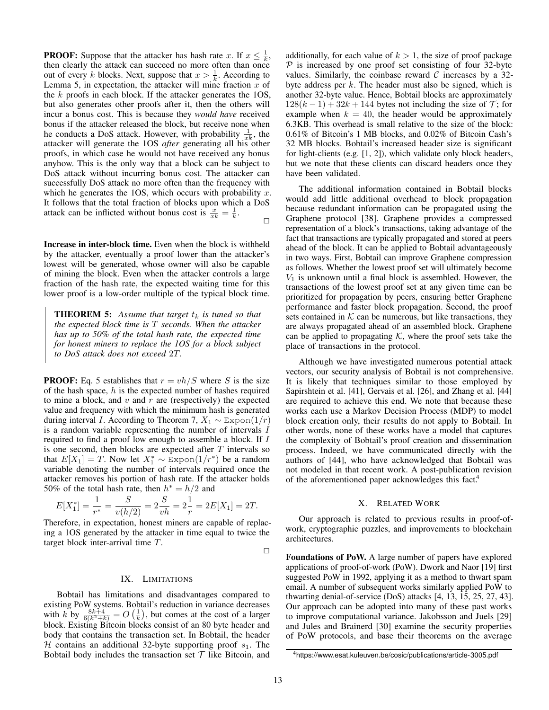**PROOF:** Suppose that the attacker has hash rate x. If  $x \leq \frac{1}{k}$ , then clearly the attack can succeed no more often than once out of every k blocks. Next, suppose that  $x > \frac{1}{k}$ . According to Lemma [5,](#page-9-2) in expectation, the attacker will mine fraction  $x$  of the  $k$  proofs in each block. If the attacker generates the  $1OS$ , but also generates other proofs after it, then the others will incur a bonus cost. This is because they *would have* received bonus if the attacker released the block, but receive none when he conducts a DoS attack. However, with probability  $\frac{1}{x^k}$ , the attacker will generate the 1OS *after* generating all his other proofs, in which case he would not have received any bonus anyhow. This is the only way that a block can be subject to DoS attack without incurring bonus cost. The attacker can successfully DoS attack no more often than the frequency with which he generates the 1OS, which occurs with probability  $x$ . It follows that the total fraction of blocks upon which a DoS attack can be inflicted without bonus cost is  $\frac{x}{x_k} = \frac{1}{k}$ .  $\Box$ 

Increase in inter-block time. Even when the block is withheld by the attacker, eventually a proof lower than the attacker's lowest will be generated, whose owner will also be capable of mining the block. Even when the attacker controls a large fraction of the hash rate, the expected waiting time for this lower proof is a low-order multiple of the typical block time.

**THEOREM 5:** Assume that target  $t_k$  is tuned so that *the expected block time is* T *seconds. When the attacker has up to 50% of the total hash rate, the expected time for honest miners to replace the 1OS for a block subject to DoS attack does not exceed* 2T*.*

**PROOF:** Eq. [5](#page-4-3) establishes that  $r = vh/S$  where S is the size of the hash space,  $h$  is the expected number of hashes required to mine a block, and  $v$  and  $r$  are (respectively) the expected value and frequency with which the minimum hash is generated during interval *I*. According to Theorem [7,](#page-15-0)  $X_1 \sim \text{Expon}(1/r)$ is a random variable representing the number of intervals I required to find a proof low enough to assemble a block. If I is one second, then blocks are expected after  $T$  intervals so that  $E[X_1] = T$ . Now let  $X_1^* \sim \text{Expon}(1/r^*)$  be a random variable denoting the number of intervals required once the attacker removes his portion of hash rate. If the attacker holds 50% of the total hash rate, then  $h^* = h/2$  and

$$
E[X_1^*] = \frac{1}{r^*} = \frac{S}{v(h/2)} = 2\frac{S}{vh} = 2\frac{1}{r} = 2E[X_1] = 2T.
$$

Therefore, in expectation, honest miners are capable of replacing a 1OS generated by the attacker in time equal to twice the target block inter-arrival time T.

 $\Box$ 

# IX. LIMITATIONS

Bobtail has limitations and disadvantages compared to existing PoW systems. Bobtail's reduction in variance decreases with k by  $\frac{8k+4}{6(k^2+k)} = O\left(\frac{1}{k}\right)$ , but comes at the cost of a larger block. Existing Bitcoin blocks consist of an 80 byte header and body that contains the transaction set. In Bobtail, the header H contains an additional 32-byte supporting proof  $s_1$ . The Bobtail body includes the transaction set  $T$  like Bitcoin, and additionally, for each value of  $k > 1$ , the size of proof package  $P$  is increased by one proof set consisting of four 32-byte values. Similarly, the coinbase reward  $\mathcal C$  increases by a 32byte address per  $k$ . The header must also be signed, which is another 32-byte value. Hence, Bobtail blocks are approximately  $128(k-1) + 32k + 144$  bytes not including the size of  $\mathcal{T}$ ; for example when  $k = 40$ , the header would be approximately 6.3KB. This overhead is small relative to the size of the block: 0.61% of Bitcoin's 1 MB blocks, and 0.02% of Bitcoin Cash's 32 MB blocks. Bobtail's increased header size is significant for light-clients (e.g. [\[1,](#page-13-3) [2\]](#page-13-4)), which validate only block headers, but we note that these clients can discard headers once they have been validated.

The additional information contained in Bobtail blocks would add little additional overhead to block propagation because redundant information can be propagated using the Graphene protocol [\[38\]](#page-14-6). Graphene provides a compressed representation of a block's transactions, taking advantage of the fact that transactions are typically propagated and stored at peers ahead of the block. It can be applied to Bobtail advantageously in two ways. First, Bobtail can improve Graphene compression as follows. Whether the lowest proof set will ultimately become  $V_1$  is unknown until a final block is assembled. However, the transactions of the lowest proof set at any given time can be prioritized for propagation by peers, ensuring better Graphene performance and faster block propagation. Second, the proof sets contained in  $K$  can be numerous, but like transactions, they are always propagated ahead of an assembled block. Graphene can be applied to propagating  $K$ , where the proof sets take the place of transactions in the protocol.

Although we have investigated numerous potential attack vectors, our security analysis of Bobtail is not comprehensive. It is likely that techniques similar to those employed by Sapirshtein et al. [\[41\]](#page-14-10), Gervais et al. [\[26\]](#page-14-9), and Zhang et al. [\[44\]](#page-14-17) are required to achieve this end. We note that because these works each use a Markov Decision Process (MDP) to model block creation only, their results do not apply to Bobtail. In other words, none of these works have a model that captures the complexity of Bobtail's proof creation and dissemination process. Indeed, we have communicated directly with the authors of [\[44\]](#page-14-17), who have acknowledged that Bobtail was not modeled in that recent work. A post-publication revision of the aforementioned paper acknowledges this fac[t.](#page-12-0)<sup>4</sup>

# X. RELATED WORK

Our approach is related to previous results in proof-ofwork, cryptographic puzzles, and improvements to blockchain architectures.

Foundations of PoW. A large number of papers have explored applications of proof-of-work (PoW). Dwork and Naor [\[19\]](#page-14-18) first suggested PoW in 1992, applying it as a method to thwart spam email. A number of subsequent works similarly applied PoW to thwarting denial-of-service (DoS) attacks [\[4,](#page-13-5) [13,](#page-14-19) [15,](#page-14-20) [25,](#page-14-21) [27,](#page-14-22) [43\]](#page-14-23). Our approach can be adopted into many of these past works to improve computational variance. Jakobsson and Juels [\[29\]](#page-14-24) and Jules and Brainerd [\[30\]](#page-14-25) examine the security properties of PoW protocols, and base their theorems on the average

<span id="page-12-0"></span><sup>4</sup><https://www.esat.kuleuven.be/cosic/publications/article-3005.pdf>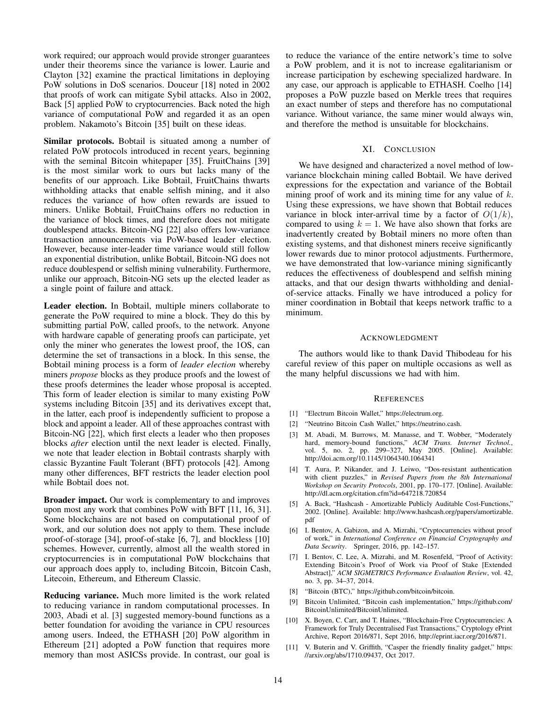work required; our approach would provide stronger guarantees under their theorems since the variance is lower. Laurie and Clayton [\[32\]](#page-14-26) examine the practical limitations in deploying PoW solutions in DoS scenarios. Douceur [\[18\]](#page-14-27) noted in 2002 that proofs of work can mitigate Sybil attacks. Also in 2002, Back [\[5\]](#page-13-6) applied PoW to cryptocurrencies. Back noted the high variance of computational PoW and regarded it as an open problem. Nakamoto's Bitcoin [\[35\]](#page-14-0) built on these ideas.

Similar protocols. Bobtail is situated among a number of related PoW protocols introduced in recent years, beginning with the seminal Bitcoin whitepaper [\[35\]](#page-14-0). FruitChains [\[39\]](#page-14-28) is the most similar work to ours but lacks many of the benefits of our approach. Like Bobtail, FruitChains thwarts withholding attacks that enable selfish mining, and it also reduces the variance of how often rewards are issued to miners. Unlike Bobtail, FruitChains offers no reduction in the variance of block times, and therefore does not mitigate doublespend attacks. Bitcoin-NG [\[22\]](#page-14-29) also offers low-variance transaction announcements via PoW-based leader election. However, because inter-leader time variance would still follow an exponential distribution, unlike Bobtail, Bitcoin-NG does not reduce doublespend or selfish mining vulnerability. Furthermore, unlike our approach, Bitcoin-NG sets up the elected leader as a single point of failure and attack.

Leader election. In Bobtail, multiple miners collaborate to generate the PoW required to mine a block. They do this by submitting partial PoW, called proofs, to the network. Anyone with hardware capable of generating proofs can participate, yet only the miner who generates the lowest proof, the 1OS, can determine the set of transactions in a block. In this sense, the Bobtail mining process is a form of *leader election* whereby miners *propose* blocks as they produce proofs and the lowest of these proofs determines the leader whose proposal is accepted. This form of leader election is similar to many existing PoW systems including Bitcoin [\[35\]](#page-14-0) and its derivatives except that, in the latter, each proof is independently sufficient to propose a block and appoint a leader. All of these approaches contrast with Bitcoin-NG [\[22\]](#page-14-29), which first elects a leader who then proposes blocks *after* election until the next leader is elected. Finally, we note that leader election in Bobtail contrasts sharply with classic Byzantine Fault Tolerant (BFT) protocols [\[42\]](#page-14-30). Among many other differences, BFT restricts the leader election pool while Bobtail does not.

Broader impact. Our work is complementary to and improves upon most any work that combines PoW with BFT [\[11,](#page-13-2) [16,](#page-14-3) [31\]](#page-14-4). Some blockchains are not based on computational proof of work, and our solution does not apply to them. These include proof-of-storage [\[34\]](#page-14-31), proof-of-stake [\[6,](#page-13-7) [7\]](#page-13-8), and blockless [\[10\]](#page-13-9) schemes. However, currently, almost all the wealth stored in cryptocurrencies is in computational PoW blockchains that our approach does apply to, including Bitcoin, Bitcoin Cash, Litecoin, Ethereum, and Ethereum Classic.

Reducing variance. Much more limited is the work related to reducing variance in random computational processes. In 2003, Abadi et al. [\[3\]](#page-13-10) suggested memory-bound functions as a better foundation for avoiding the variance in CPU resources among users. Indeed, the ETHASH [\[20\]](#page-14-32) PoW algorithm in Ethereum [\[21\]](#page-14-1) adopted a PoW function that requires more memory than most ASICSs provide. In contrast, our goal is to reduce the variance of the entire network's time to solve a PoW problem, and it is not to increase egalitarianism or increase participation by eschewing specialized hardware. In any case, our approach is applicable to ETHASH. Coelho [\[14\]](#page-14-33) proposes a PoW puzzle based on Merkle trees that requires an exact number of steps and therefore has no computational variance. Without variance, the same miner would always win, and therefore the method is unsuitable for blockchains.

## XI. CONCLUSION

We have designed and characterized a novel method of lowvariance blockchain mining called Bobtail. We have derived expressions for the expectation and variance of the Bobtail mining proof of work and its mining time for any value of  $k$ . Using these expressions, we have shown that Bobtail reduces variance in block inter-arrival time by a factor of  $O(1/k)$ , compared to using  $k = 1$ . We have also shown that forks are inadvertently created by Bobtail miners no more often than existing systems, and that dishonest miners receive significantly lower rewards due to minor protocol adjustments. Furthermore, we have demonstrated that low-variance mining significantly reduces the effectiveness of doublespend and selfish mining attacks, and that our design thwarts withholding and denialof-service attacks. Finally we have introduced a policy for miner coordination in Bobtail that keeps network traffic to a minimum.

#### ACKNOWLEDGMENT

The authors would like to thank David Thibodeau for his careful review of this paper on multiple occasions as well as the many helpful discussions we had with him.

#### **REFERENCES**

- <span id="page-13-3"></span>[1] "Electrum Bitcoin Wallet," [https://electrum.org.](https://electrum.org)
- <span id="page-13-4"></span>[2] "Neutrino Bitcoin Cash Wallet," [https://neutrino.cash.](https://neutrino.cash)
- <span id="page-13-10"></span>[3] M. Abadi, M. Burrows, M. Manasse, and T. Wobber, "Moderately hard, memory-bound functions," *ACM Trans. Internet Technol.*, vol. 5, no. 2, pp. 299–327, May 2005. [Online]. Available: <http://doi.acm.org/10.1145/1064340.1064341>
- <span id="page-13-5"></span>[4] T. Aura, P. Nikander, and J. Leiwo, "Dos-resistant authentication with client puzzles," in *Revised Papers from the 8th International Workshop on Security Protocols*, 2001, pp. 170–177. [Online]. Available: <http://dl.acm.org/citation.cfm?id=647218.720854>
- <span id="page-13-6"></span>[5] A. Back, "Hashcash - Amortizable Publicly Auditable Cost-Functions," 2002. [Online]. Available: [http://www.hashcash.org/papers/amortizable.](http://www.hashcash.org/papers/amortizable.pdf) [pdf](http://www.hashcash.org/papers/amortizable.pdf)
- <span id="page-13-7"></span>[6] I. Bentov, A. Gabizon, and A. Mizrahi, "Cryptocurrencies without proof of work," in *International Conference on Financial Cryptography and Data Security*. Springer, 2016, pp. 142–157.
- <span id="page-13-8"></span>[7] I. Bentov, C. Lee, A. Mizrahi, and M. Rosenfeld, "Proof of Activity: Extending Bitcoin's Proof of Work via Proof of Stake [Extended Abstract]," *ACM SIGMETRICS Performance Evaluation Review*, vol. 42, no. 3, pp. 34–37, 2014.
- <span id="page-13-0"></span>[8] "Bitcoin (BTC)," [https://github.com/bitcoin/bitcoin.](https://github.com/bitcoin/bitcoin)
- <span id="page-13-1"></span>[9] Bitcoin Unlimited, "Bitcoin cash implementation," [https://github.com/](https://github.com/BitcoinUnlimited/BitcoinUnlimited) [BitcoinUnlimited/BitcoinUnlimited.](https://github.com/BitcoinUnlimited/BitcoinUnlimited)
- <span id="page-13-9"></span>[10] X. Boyen, C. Carr, and T. Haines, "Blockchain-Free Cryptocurrencies: A Framework for Truly Decentralised Fast Transactions," Cryptology ePrint Archive, Report 2016/871, Sept 2016, [http://eprint.iacr.org/2016/871.](http://eprint.iacr.org/2016/871)
- <span id="page-13-2"></span>[11] V. Buterin and V. Griffith, "Casper the friendly finality gadget," [https:](https://arxiv.org/abs/1710.09437) [//arxiv.org/abs/1710.09437,](https://arxiv.org/abs/1710.09437) Oct 2017.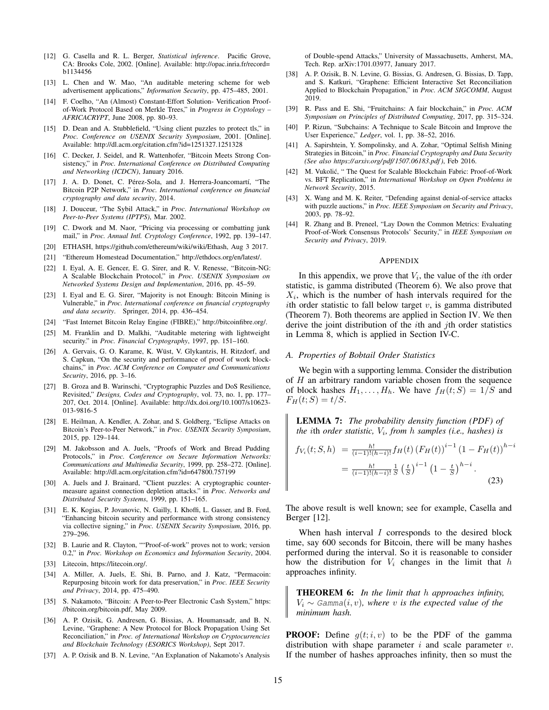- <span id="page-14-34"></span>[12] G. Casella and R. L. Berger, *Statistical inference*. Pacific Grove, CA: Brooks Cole, 2002. [Online]. Available: [http://opac.inria.fr/record=](http://opac.inria.fr/record=b1134456) [b1134456](http://opac.inria.fr/record=b1134456)
- <span id="page-14-19"></span>[13] L. Chen and W. Mao, "An auditable metering scheme for web advertisement applications," *Information Security*, pp. 475–485, 2001.
- <span id="page-14-33"></span>[14] F. Coelho, "An (Almost) Constant-Effort Solution- Verification Proofof-Work Protocol Based on Merkle Trees," in *Progress in Cryptology – AFRICACRYPT*, June 2008, pp. 80–93.
- <span id="page-14-20"></span>[15] D. Dean and A. Stubblefield, "Using client puzzles to protect tls," in *Proc. Conference on USENIX Security Symposium*, 2001. [Online]. Available:<http://dl.acm.org/citation.cfm?id=1251327.1251328>
- <span id="page-14-3"></span>[16] C. Decker, J. Seidel, and R. Wattenhofer, "Bitcoin Meets Strong Consistency," in *Proc. International Conference on Distributed Computing and Networking (ICDCN)*, January 2016.
- <span id="page-14-11"></span>[17] J. A. D. Donet, C. Pérez-Sola, and J. Herrera-Joancomartí, "The Bitcoin P2P Network," in *Proc. International conference on financial cryptography and data security*, 2014.
- <span id="page-14-27"></span>[18] J. Douceur, "The Sybil Attack," in *Proc. International Workshop on Peer-to-Peer Systems (IPTPS)*, Mar. 2002.
- <span id="page-14-18"></span>[19] C. Dwork and M. Naor, "Pricing via processing or combatting junk mail," in *Proc. Annual Intl. Cryptology Conference*, 1992, pp. 139–147.
- <span id="page-14-32"></span>[20] ETHASH, [https://github.com/ethereum/wiki/wiki/Ethash,](https://github.com/ethereum/wiki/wiki/Ethash) Aug 3 2017.
- <span id="page-14-1"></span>[21] "Ethereum Homestead Documentation," [http://ethdocs.org/en/latest/.](http://ethdocs.org/en/latest/)
- <span id="page-14-29"></span>[22] I. Eyal, A. E. Gencer, E. G. Sirer, and R. V. Renesse, "Bitcoin-NG: A Scalable Blockchain Protocol," in *Proc. USENIX Symposium on Networked Systems Design and Implementation*, 2016, pp. 45–59.
- <span id="page-14-5"></span>[23] I. Eyal and E. G. Sirer, "Majority is not Enough: Bitcoin Mining is Vulnerable," in *Proc. International conference on financial cryptography and data security*. Springer, 2014, pp. 436–454.
- <span id="page-14-13"></span>[24] "Fast Internet Bitcoin Relay Engine (FIBRE)," [http://bitcoinfibre.org/.](http://bitcoinfibre.org/)
- <span id="page-14-21"></span>[25] M. Franklin and D. Malkhi, "Auditable metering with lightweight security." in *Proc. Financial Cryptography*, 1997, pp. 151–160.
- <span id="page-14-9"></span>[26] A. Gervais, G. O. Karame, K. Wüst, V. Glykantzis, H. Ritzdorf, and S. Capkun, "On the security and performance of proof of work blockchains," in *Proc. ACM Conference on Computer and Communications Security*, 2016, pp. 3–16.
- <span id="page-14-22"></span>[27] B. Groza and B. Warinschi, "Cryptographic Puzzles and DoS Resilience, Revisited," *Designs, Codes and Cryptography*, vol. 73, no. 1, pp. 177– 207, Oct. 2014. [Online]. Available: [http://dx.doi.org/10.1007/s10623-](http://dx.doi.org/10.1007/s10623-013-9816-5) [013-9816-5](http://dx.doi.org/10.1007/s10623-013-9816-5)
- <span id="page-14-12"></span>[28] E. Heilman, A. Kendler, A. Zohar, and S. Goldberg, "Eclipse Attacks on Bitcoin's Peer-to-Peer Network," in *Proc. USENIX Security Symposium*, 2015, pp. 129–144.
- <span id="page-14-24"></span>[29] M. Jakobsson and A. Juels, "Proofs of Work and Bread Pudding Protocols," in *Proc. Conference on Secure Information Networks: Communications and Multimedia Security*, 1999, pp. 258–272. [Online]. Available:<http://dl.acm.org/citation.cfm?id=647800.757199>
- <span id="page-14-25"></span>[30] A. Juels and J. Brainard, "Client puzzles: A cryptographic countermeasure against connection depletion attacks." in *Proc. Networks and Distributed Security Systems*, 1999, pp. 151–165.
- <span id="page-14-4"></span>[31] E. K. Kogias, P. Jovanovic, N. Gailly, I. Khoffi, L. Gasser, and B. Ford, "Enhancing bitcoin security and performance with strong consistency via collective signing," in *Proc. USENIX Security Symposium*, 2016, pp. 279–296.
- <span id="page-14-26"></span>[32] B. Laurie and R. Clayton, ""Proof-of-work" proves not to work; version 0.2," in *Proc. Workshop on Economics and Information Security*, 2004.
- <span id="page-14-2"></span>[33] Litecoin, [https://litecoin.org/.](https://litecoin.org/)
- <span id="page-14-31"></span>[34] A. Miller, A. Juels, E. Shi, B. Parno, and J. Katz, "Permacoin: Repurposing bitcoin work for data preservation," in *Proc. IEEE Security and Privacy*, 2014, pp. 475–490.
- <span id="page-14-0"></span>[35] S. Nakamoto, "Bitcoin: A Peer-to-Peer Electronic Cash System," [https:](https://bitcoin.org/bitcoin.pdf) [//bitcoin.org/bitcoin.pdf,](https://bitcoin.org/bitcoin.pdf) May 2009.
- <span id="page-14-7"></span>[36] A. P. Ozisik, G. Andresen, G. Bissias, A. Houmansadr, and B. N. Levine, "Graphene: A New Protocol for Block Propagation Using Set Reconciliation," in *Proc. of International Workshop on Cryptocurrencies and Blockchain Technology (ESORICS Workshop)*, Sept 2017.
- <span id="page-14-8"></span>[37] A. P. Ozisik and B. N. Levine, "An Explanation of Nakamoto's Analysis

of Double-spend Attacks," University of Massachusetts, Amherst, MA, Tech. Rep. arXiv:1701.03977, January 2017.

- <span id="page-14-6"></span>[38] A. P. Ozisik, B. N. Levine, G. Bissias, G. Andresen, G. Bissias, D. Tapp, and S. Katkuri, "Graphene: Efficient Interactive Set Reconciliation Applied to Blockchain Propagation," in *Proc. ACM SIGCOMM*, August 2019.
- <span id="page-14-28"></span>[39] R. Pass and E. Shi, "Fruitchains: A fair blockchain," in *Proc. ACM Symposium on Principles of Distributed Computing*, 2017, pp. 315–324.
- <span id="page-14-16"></span>[40] P. Rizun, "Subchains: A Technique to Scale Bitcoin and Improve the User Experience," *Ledger*, vol. 1, pp. 38–52, 2016.
- <span id="page-14-10"></span>[41] A. Sapirshtein, Y. Sompolinsky, and A. Zohar, "Optimal Selfish Mining Strategies in Bitcoin," in *Proc. Financial Cryptography and Data Security (See also [https:// arxiv.org/ pdf/ 1507.06183.pdf \)](https://arxiv.org/pdf/1507.06183.pdf)*, Feb 2016.
- <span id="page-14-30"></span>[42] M. Vukolić, "The Quest for Scalable Blockchain Fabric: Proof-of-Work vs. BFT Replication," in *International Workshop on Open Problems in Network Security*, 2015.
- <span id="page-14-23"></span>[43] X. Wang and M. K. Reiter, "Defending against denial-of-service attacks with puzzle auctions," in *Proc. IEEE Symposium on Security and Privacy*, 2003, pp. 78–92.
- <span id="page-14-17"></span>[44] R. Zhang and B. Preneel, "Lay Down the Common Metrics: Evaluating Proof-of-Work Consensus Protocols' Security," in *IEEE Symposium on Security and Privacy*, 2019.

#### <span id="page-14-14"></span>APPENDIX

In this appendix, we prove that  $V_i$ , the value of the *i*th order statistic, is gamma distributed (Theorem [6\)](#page-14-15). We also prove that  $X_i$ , which is the number of hash intervals required for the ith order statistic to fall below target  $v$ , is gamma distributed (Theorem [7\)](#page-15-0). Both theorems are applied in Section [IV.](#page-4-0) We then derive the joint distribution of the *i*th and *j*th order statistics in Lemma [8,](#page-15-1) which is applied in Section [IV-C.](#page-5-1)

## *A. Properties of Bobtail Order Statistics*

We begin with a supporting lemma. Consider the distribution of  $H$  an arbitrary random variable chosen from the sequence of block hashes  $H_1, \ldots, H_h$ . We have  $f_H(t; S) = 1/S$  and  $F_H(t; S) = t/S.$ 

LEMMA 7: *The probability density function (PDF) of the* ith *order statistic,* V<sup>i</sup> *, from* h *samples (i.e., hashes) is*

$$
f_{V_i}(t; S, h) = \frac{h!}{(i-1)!(h-i)!} f_H(t) (F_H(t))^{i-1} (1 - F_H(t))^{h-i}
$$
  
= 
$$
\frac{h!}{(i-1)!(h-i)!} \frac{1}{S} (\frac{t}{S})^{i-1} (1 - \frac{t}{S})^{h-i}.
$$
 (23)

The above result is well known; see for example, Casella and Berger [\[12\]](#page-14-34).

When hash interval  $I$  corresponds to the desired block time, say 600 seconds for Bitcoin, there will be many hashes performed during the interval. So it is reasonable to consider how the distribution for  $V_i$  changes in the limit that  $h$ approaches infinity.

<span id="page-14-15"></span>THEOREM 6: *In the limit that* h *approaches infinity,*  $V_i \sim$  Gamma $(i, v)$ , where v is the expected value of the *minimum hash.*

**PROOF:** Define  $g(t; i, v)$  to be the PDF of the gamma distribution with shape parameter  $i$  and scale parameter  $v$ . If the number of hashes approaches infinity, then so must the